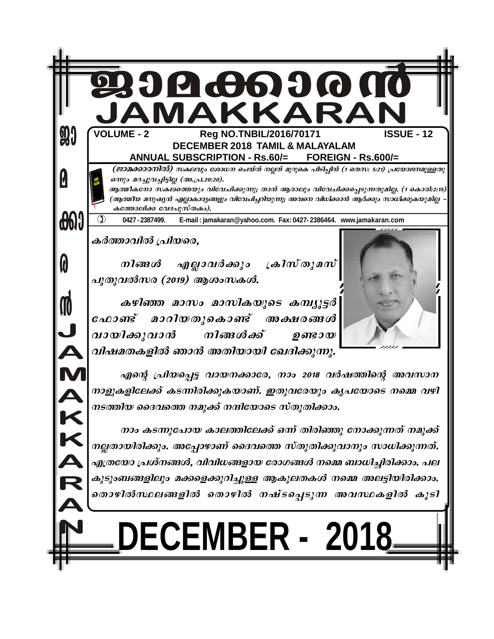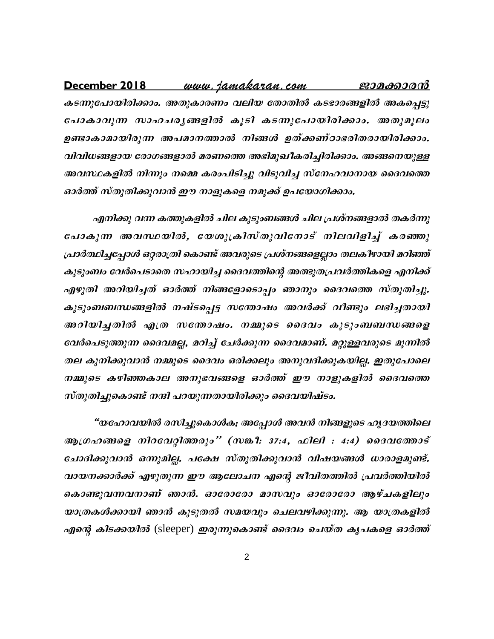## <u>www.iamakaran.com</u> December 2018 ജാമക്കാരന് കടന്നുപോയിരിക്കാം. അതുകാരണം വലിയ തോതിൽ കടഭാരങ്ങളിൽ അകപ്പെട്ടു പോകാവുന്ന സാഹചര്യങ്ങളിൽ കൂടി കടന്നുപോയിരിക്കാം. അതുമൂലം ഉണ്ടാകാമായിരുന്ന അപമാനത്താൽ നിങ്ങൾ ഉത്ക്കണ്ഠാഭരിതരായിരിക്കാം. വിവിധങ്ങളായ രോഗങ്ങളാൽ മരണത്തെ അഭിമുഖീകരിച്ചിരിക്കാം. അങ്ങനെയുള്ള അവസ്ഥകളിൽ നിന്നും നമ്മെ കരംപിടിച്ചു വിടുവിച്ച സ്നേഹവാനായ ദൈവത്തെ ഓർത്ത് സ്തുതിക്കുവാൻ ഈ നാളുകളെ നമുക്ക് ഉപയോഗിക്കാം.

എനിക്കു വന്ന കത്തുകളിൽ ചില കുടുംബങ്ങൾ ചില പ്രശ്നങ്ങളാൽ തകർന്നു പോകുന്ന അവസ്ഥയിൽ, യേശുക്രിസ്തുവിനോട് നിലവിളിച്ച് കരഞ്ഞു പ്രാർത്ഥിച്ചപ്പോൾ ഒറ്റരാത്രി കൊണ്ട് അവരുടെ പ്രശ്നങ്ങളെല്ലാം തലകീഴായി മറിഞ്ഞ് കുടുംബം വേർപെടാതെ സഹായിച്ച ദൈവത്തിന്റെ അത്ഭുതപ്രവർത്തികളെ എനിക്ക് എഴുതി അറിയിച്ചത് ഓർത്ത് നിങ്ങളോടൊപ്പം ഞാനും ദൈവത്തെ സ്തുതിച്ചു. കുടുംബബന്ധങ്ങളിൽ നഷ്ടപ്പെട്ട സതോഷം അവർക്ക് വീണ്ടും ലഭിച്ചതായി അറിയിച്ചതിൽ എത്ര സതോഷം. നമ്മുടെ ദൈവം കുടുംബബന്ധങ്ങളെ വേർപെടുത്തുന്ന ദൈവമല്ല, മറിച്ച് ചേർക്കുന്ന ദൈവമാണ്. മറ്റുള്ളവരുടെ മുന്നിൽ തല കുനിക്കുവാൻ നമ്മുടെ ദൈവം ഒരിക്കലും അനുവദിക്കുകയില്ല. ഇതുപോലെ നമ്മുടെ കഴിഞ്ഞകാല അനുഭവങ്ങളെ ഓർത്ത് ഈ നാളുകളിൽ ദൈവത്തെ സ്തുതിച്ചുകൊണ്ട് നന്ദി പറയുന്നതായിരിക്കും ദൈവയിഷ്ടം.

"യഹോവയിൽ രസിച്ചുകൊൾക; അപ്പോൾ അവൻ നിങ്ങളുടെ ഹൃദയത്തിലെ ആഗ്രഹങ്ങളെ നിറവേറ്റിത്തരും'' (സങ്കീ: 37:4, ഫിലി : 4:4) ദൈവത്തോട് ചോദിക്കുവാൻ ഒന്നുമില്ല. പക്ഷേ സ്തുതിക്കുവാൻ വിഷയങ്ങൾ ധാരാളമുണ്ട്. വായനക്കാർക്ക് എഴുതുന്ന ഈ ആലോചന എന്റെ ജീവിതത്തിൽ പ്രവർത്തിയിൽ കൊണ്ടുവന്നവനാണ് ഞാൻ. ഓരോരോ മാസവും ഓരോരോ ആഴ്ചകളിലും യാത്രകൾക്കായി ഞാൻ കൂടുതൽ സമയവും ചെലവഴിക്കുന്നു. ആ യാത്രകളിൽ എന്റെ കിടക്കയിൽ (sleeper) ഇരുന്നുകൊണ്ട് ദൈവം ചെയ്ത കൃപകളെ ഓർത്ത്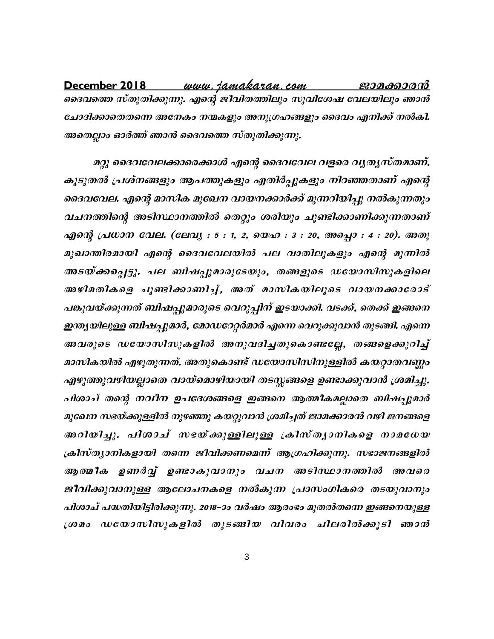<u>www.jamakaran.com</u> December 2018 ജാമക്കാരൻ ദൈവത്തെ സ്തുതിക്കുന്നു. എന്റെ ജീവിതത്തിലും സുവിശേഷ വേലയിലും ഞാൻ ചോദിക്കാതെതന്നെ അനേകം നന്മകളും അനുഗ്രഹങ്ങളും ദൈവം എനിക്ക് നൽകി. അതെല്ലാം ഓർത്ത് ഞാൻ ദൈവത്തെ സ്തുതിക്കുന്നു.

മറ്റു ദൈവവേലക്കാരെക്കാൾ എന്റെ ദൈവവേല വളരെ വൃത്യസ്തമാണ്. കൂടുതൽ പ്രശ്നങ്ങളും ആപത്തുകളും എതിർപ്പുകളും നിറഞ്ഞതാണ് എന്റെ ദൈവവേല. എന്റെ മാസിക മുഖേന വായനക്കാർക്ക് മുന്നറിയിച്ചു നൽകുന്നതും വചനത്തിന്റെ അടിസ്ഥാനത്തിൽ തെറ്റും ശരിയും ചൂണ്ടിക്കാണിക്കുന്നതാണ് എന്റെ പ്രധാന വേല. (ലേവൃ : 5 : 1, 2, യെഹ : 3 : 20, അപ്പൊ : 4 : 20). അതു മുഖാന്തിരമായി എന്റെ ദൈവവേലയിൽ പല വാതിലുകളും എന്റെ മുന്നിൽ അടയ്ക്കപ്പെട്ടു. പല ബിഷപ്പുമാരുടേയും, തങ്ങളുടെ ഡയോസിസുകളിലെ അഴിമതികളെ ചൂണ്ടിക്കാണിച്ച്, അത് മാസികയിലൂടെ വായനക്കാരോട് പങ്കുവയ്ക്കുന്നത് ബിഷപ്പുമാരുടെ വെറുപ്പിന് ഇടയാക്കി. വടക്ക്, തെക്ക് ഇങ്ങനെ ഇന്ത്യയിലുള്ള ബിഷപ്പുമാർ, മോഡറേറ്റർമാർ എന്നെ വെറുക്കുവാൻ തുടങ്ങി. എന്നെ അവരുടെ ഡയോസിസുകളിൽ അനുവദിച്ചതുകൊണ്ടല്ലേ, തങ്ങളെക്കുറിച്ച് മാസികയിൽ എഴുതുന്നത്. അതുകൊണ്ട് ഡയോസിസിനുള്ളിൽ കയറ്റാതവണ്ണം എഴുത്തുവഴിയല്ലാതെ വായ്മൊഴിയായി തടസ്സങ്ങളെ ഉണ്ടാക്കുവാൻ ശ്രമിച്ചു. പിശാച് തന്റെ നവീന ഉപദേശങ്ങളെ ഇങ്ങനെ ആത്മീകമല്ലാതെ ബിഷപ്പുമാർ മുഖേന സഭയ്ക്കുള്ളിൽ നുഴഞ്ഞു കയറ്റുവാൻ ശ്രമിച്ചത് ജാമക്കാരൻ വഴി ജനങ്ങളെ അറിയിച്ചു. പിശാച് സഭയ്ക്കുള്ളിലുള്ള ക്രിസ്ത്യാനികളെ നാമധേയ ക്രിസ്ത്യാനികളായി തന്നെ ജീവിക്കണമെന്ന് ആഗ്രഹിക്കുന്നു. സഭാജനങ്ങളിൽ ആത്മീക ഉണർവ്വ് ഉണ്ടാകുവാനും വചന അടിസ്ഥാനത്തിൽ അവരെ ജീവിക്കുവാനുള്ള ആലോചനകളെ നൽകുന്ന പ്രാസംഗികരെ തടയുവാനും പിശാച് പദ്ധതിയിട്ടിരിക്കുന്നു. 2018–ാം വർഷം ആരംഭം മുതൽതന്നെ ഇങ്ങനെയുള്ള ശ്രമം ഡയോസിസുകളിൽ തുടങ്ങിയ വിവരം ചിലരിൽക്കൂടി ഞാൻ

3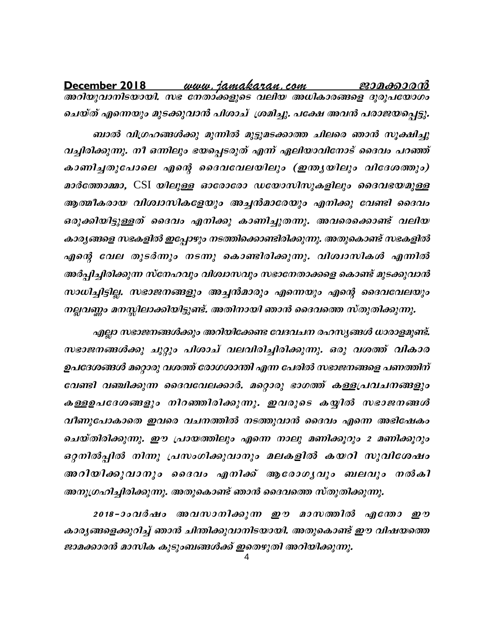<u>www.jamakaran.com</u> December 2018 ജാമക്കാരൻ അറിയുവാനിടയായി. സഭ നേതാക്കളുടെ വലിയ അധികാരങ്ങളെ ദുരുപയോഗം ചെയ്ത് എന്നെയും മുടക്കുവാൻ പിശാച്ുശമിച്ചു. പക്ഷേ അവൻ പരാജയപ്പെട്ടു.

ബാൽ വിഗ്രഹങ്ങൾക്കു മുന്നിൽ മുട്ടുമടക്കാത്ത ചിലരെ ഞാൻ സൂക്ഷിച്ചു വച്ചിരിക്കുന്നു. നീ ഒന്നിലും ഭയപ്പെടരുത് എന്ന് ഏലിയാവിനോട് ദൈവം പറഞ്ഞ് കാണിച്ചതുപോലെ എന്റെ ദൈവവേലയിലും (ഇന്ത്യയിലും വിദേശത്തും) മാർത്തോമ്മാ, CSI യിലുള്ള ഓരോരോ ഡയോസിസുകളിലും ദൈവഭയമുള്ള ആത്മീകരായ വിശ്വാസികളേയും അച്ചൻമാരേയും എനിക്കു വേണ്ടി ദൈവം ഒരുക്കിയിട്ടുള്ളത് ദൈവം എനിക്കു കാണിച്ചുതന്നു. അവരെക്കൊണ്ട് വലിയ കാര്യങ്ങളെ സഭകളിൽ ഇപ്പോഴും നടത്തിക്കൊണ്ടിരിക്കുന്നു. അതുകൊണ്ട് സഭകളിൽ എന്റെ വേല തുടർന്നും നടന്നു കൊണ്ടിരിക്കുന്നു. വിശ്വാസികൾ എന്നിൽ അർപ്പിച്ചിരിക്കുന്ന സ്നേഹവും വിശ്വാസവും സഭാനേതാക്കളെ കൊണ്ട് മുടക്കുവാൻ സാധിച്ചിട്ടില്ല. സഭാജനങ്ങളും അച്ചൻമാരും എന്നെയും എന്റെ ദൈവവേലയും നല്ലവണ്ണം മനസ്സിലാക്കിയിട്ടുണ്ട്. അതിനായി ഞാൻ ദൈവത്തെ സ്തുതിക്കുന്നു.

എല്ലാ സഭാജനങ്ങൾക്കും അറിയിക്കേണ്ട വേദവചന രഹസ്യങ്ങൾ ധാരാളമുണ്ട്. സഭാജനങ്ങൾക്കു ചുറ്റും പിശാച് വലവിരിച്ചിരിക്കുന്നു. ഒരു വശത്ത് വികാര ഉപദേശങ്ങൾ മറ്റൊരു വശത്ത് രോഗശാന്തി എന്ന പേരിൽ സഭാജനങ്ങളെ പണത്തിന് വേണ്ടി വഞ്ചിക്കുന്ന ദൈവവേലക്കാർ. മറ്റൊരു ഭാഗത്ത് കള്ളപ്രവചനങ്ങളും കള്ളഉപദേശങ്ങളും നിറഞ്ഞിരിക്കുന്നു. ഇവരുടെ കയ്യിൽ സഭാജനങ്ങൾ വീണുപോകാതെ ഇവരെ വചനത്തിൽ നടത്തുവാൻ ദൈവം എന്നെ അഭിഷേകം ചെയ്തിരിക്കുന്നു. ഈ പ്രായത്തിലും എന്നെ നാലു മണിക്കൂറും 2 മണിക്കൂറും ഒറ്റനിൽപ്പിൽ നിന്നു പ്രസംഗിക്കുവാനും മലകളിൽ കയറി സുവിശേഷം അറിയിക്കുവാനും ദൈവം എനിക്ക് ആരോഗൃവും ബലവും നൽകി അനുഗ്രഹിച്ചിരിക്കുന്നു. അതുകൊണ്ട് ഞാൻ ദൈവത്തെ സ്തുതിക്കുന്നു.

2018-ാംവർഷം അവസാനിക്കുന്ന ഈ മാസത്തിൽ എന്തോ ഈ കാര്യങ്ങളെക്കുറിച്ച് ഞാൻ ചിന്തിക്കുവാനിടയായി. അതുകൊണ്ട് ഈ വിഷയത്തെ ജാമക്കാരൻ മാസിക കുടുംബങ്ങൾക്ക് ഇതെഴുതി അറിയിക്കുന്നു.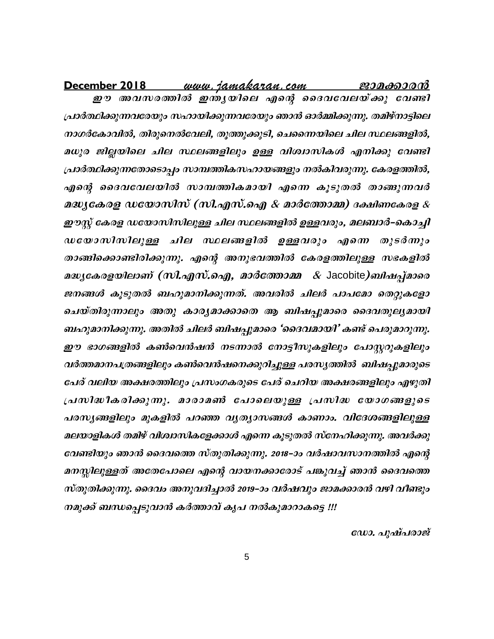<u>www.jamakaran.com</u> ജാ<u>മക്കാരൻ</u> December 2018

ഈ അവസരത്തിൽ ഇന്ത്യയിലെ എന്റെ ദൈവവേലയ്ക്കു വേണ്ടി പ്രാർത്ഥിക്കുന്നവരേയും സഹായിക്കുന്നവരേയും ഞാൻ ഓർമ്മിക്കുന്നു. തമിഴ്നാട്ടിലെ നാഗർകോവിൽ, തിരുനെൽവേലി, തൂത്തുക്കുടി, ചെന്നൈയിലെ ചില സ്ഥലങ്ങളിൽ, മധുര ജില്ലയിലെ ചില സ്ഥലങ്ങളിലും ഉള്ള വിശ്വാസികൾ എനിക്കു വേണ്ടി പ്രാർത്ഥിക്കുന്നതോടൊപ്പം സാമ്പത്തികസഹായങ്ങളും നൽകിവരുന്നു. കേരളത്തിൽ, എന്റെ ദൈവവേലയിൽ സാമ്പത്തികമായി എന്നെ കൂടുതൽ താങ്ങുന്നവർ മദ്ധ്യകേരള ഡയോസിസ് (സി.എസ്.ഐ & മാർത്തോമ്മ) ദക്ഷിണകേരള & ഈസ്റ്റ് കേരള ഡയോസിസിലുള്ള ചില സ്ഥലങ്ങളിൽ ഉള്ളവരും, മലബാർ–കൊച്ചി ഡയോസിസിലുള്ള ചില സ്ഥലങ്ങളിൽ ഉള്ളവരും എന്നെ തുടർന്നും താങ്ങിക്കൊണ്ടിരിക്കുന്നു. എന്റെ അനുഭവത്തിൽ കേരളത്തിലുള്ള സഭകളിൽ മദ്ധ്യകേരളയിലാണ് (സി.എസ്.ഐ, മാർത്തോമ്മ & Jacobite)ബിഷപ്മാരെ ജനങ്ങൾ കൂടുതൽ ബഹുമാനിക്കുന്നത്. അവരിൽ ചിലർ പാപമോ തെറ്റുകളോ ചെയ്തിരുന്നാലും അതു കാര്യമാക്കാതെ ആ ബിഷപ്പുമാരെ ദൈവതുല്യമായി ബഹുമാനിക്കുന്നു. അതിൽ ചിലർ ബിഷപ്പുമാരെ 'ദൈവമായി' കണ്ട് പെരുമാറുന്നു. ഈ ഭാഗങ്ങളിൽ കൺവെൻഷൻ നടന്നാൽ നോട്ടീസുകളിലും പോസ്റ്ററുകളിലും വർത്തമാനപത്രങ്ങളിലും കൺവെൻഷനെക്കുറിച്ചുള്ള പരസ്യത്തിൽ ബിഷപ്പുമാരുടെ പേര് വലിയ അക്ഷരത്തിലും പ്രസംഗകരുടെ പേര് ചെറിയ അക്ഷരങ്ങളിലും എഴുതി പ്രസിദ്ധീകരിക്കുന്നു. മാരാമൺ പോലെയുള്ള പ്രസിദ്ധ യോഗങ്ങളുടെ പരസൃങ്ങളിലും മുകളിൽ പറഞ്ഞ വൃത്യാസങ്ങൾ കാണാം. വിദേശങ്ങളിലുള്ള മലയാളികൾ തമിഴ് വിശ്വാസികളേക്കാൾ എന്നെ കൂടുതൽ സ്നേഹിക്കുന്നു. അവർക്കു വേണ്ടിയും ഞാൻ ദൈവത്തെ സ്തുതിക്കുന്നു. 2018–ാം വർഷാവസാനത്തിൽ എന്റെ മനസ്സിലുള്ളത് അതേപോലെ എന്റെ വായനക്കാരോട് പങ്കുവച്ച് ഞാൻ ദൈവത്തെ സ്തുതിക്കുന്നു. ദൈവം അനുവദിച്ചാൽ 2019–ാം വർഷവും ജാമക്കാരൻ വഴി വീണ്ടും നമുക്ക് ബന്ധപ്പെടുവാൻ കർത്താവ് കൃപ നൽകുമാറാകട്ടെ !!!

ഡോ. പുഷ്പരാജ്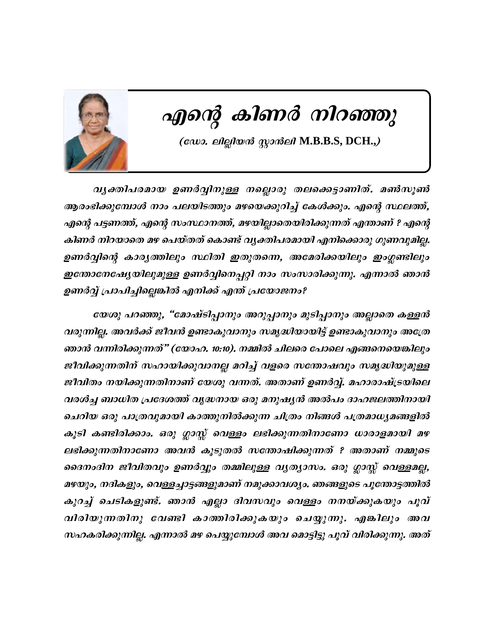

# എന്റെ കിണർ നിറഞ്ഞു

(லே. விதிலல் முசல்வி M.B.B.S, DCH.,)

വൃക്തിപരമായ ഉണർവ്വിനുള്ള നല്ലൊരു തലക്കെട്ടാണിത്. മൺസൂൺ ആരംഭിക്കുമ്പോൾ നാം പലയിടത്തും മഴയെക്കുറിച്ച് കേൾക്കും. എന്റെ സ്ഥലത്ത്, എന്റെ പട്ടണത്ത്, എന്റെ സംസ്ഥാനത്ത്, മഴയില്ലാതെയിരിക്കുന്നത് എന്താണ് ? എന്റെ കിണർ നിറയാതെ മഴ പെയ്തത് കൊണ്ട് വ്യക്തിപരമായി എനിക്കൊരു ഗുണവുമില്ല. ഉണർവ്വിന്റെ കാരൃത്തിലും സ്ഥിതി ഇതുതന്നെ, അമേരിക്കയിലും ഇംഗ്ലണ്ടിലും ഇന്തോനേഷ്യേയിലുമുള്ള ഉണർവ്വിനെപ്പറ്റി നാം സംസാരിക്കുന്നു. എന്നാൽ ഞാൻ ഉണർവ്വ് പ്രാപിച്ചില്ലെങ്കിൽ എനിക്ക് എന്ത് പ്രയോജനം?

യേശു പറഞ്ഞു, "മോഷ്ടിപ്പാനും അറുപ്പാനും മുടിപ്പാനും അല്ലാതെ കള്ളൻ വരുന്നില്ല. അവർക്ക് ജീവൻ ഉണ്ടാകുവാനും സമൃദ്ധിയായിട്ട് ഉണ്ടാകുവാനും അത്രേ ഞാൻ വന്നിരിക്കുന്നത്" (യോഹ. 10:10). നമ്മിൽ ചിലരെ പോലെ എങ്ങനെയെങ്കിലും ജീവിക്കുന്നതിന് സഹായിക്കുവാനല്ല മറിച്ച് വളരെ സന്തോഷവും സമൃദ്ധിയുമുള്ള ജീവിതം നയിക്കുന്നതിനാണ് യേശു വന്നത്. അതാണ് ഉണർവ്വ്. മഹാരാഷ്ട്രയിലെ വരൾച്ച ബാധിത പ്രദേശത്ത് വൃദ്ധനായ ഒരു മനുഷ്യൻ അൽപം ദാഹജലത്തിനായി ചെറിയ ഒരു പാത്രവുമായി കാത്തുനിൽക്കുന്ന ചിത്രം നിങ്ങൾ പത്രമാധ്യമങ്ങളിൽ കൂടി കണ്ടിരിക്കാം. ഒരു ഗ്ലാസ്സ് വെള്ളം ലഭിക്കുന്നതിനാണോ ധാരാളമായി മഴ ലഭിക്കുന്നതിനാണോ അവൻ കൂടുതൽ സന്തോഷിക്കുന്നത് ? അതാണ് നമ്മുടെ ദൈനംദിന ജീവിതവും ഉണർവ്വും തമ്മിലുള്ള വൃത്യാസം. ഒരു ഗ്ലാസ്സ് വെള്ളമല്ല, മഴയും, നദികളും, വെള്ളച്ചാട്ടങ്ങളുമാണ് നമുക്കാവശ്യം. ഞങ്ങളുടെ പൂന്തോട്ടത്തിൽ കുറച്ച് ചെടികളുണ്ട്. ഞാൻ എല്ലാ ദിവസവും വെള്ളം നനയ്ക്കുകയും പൂവ് വിരിയുന്നതിനു വേണ്ടി കാത്തിരിക്കുകയും ചെയ്യുന്നു. എങ്കിലും അവ സഹകരിക്കുന്നില്ല. എന്നാൽ മഴ പെയ്യുമ്പോൾ അവ മൊട്ടിട്ടു പൂവ് വിരിക്കുന്നു. അത്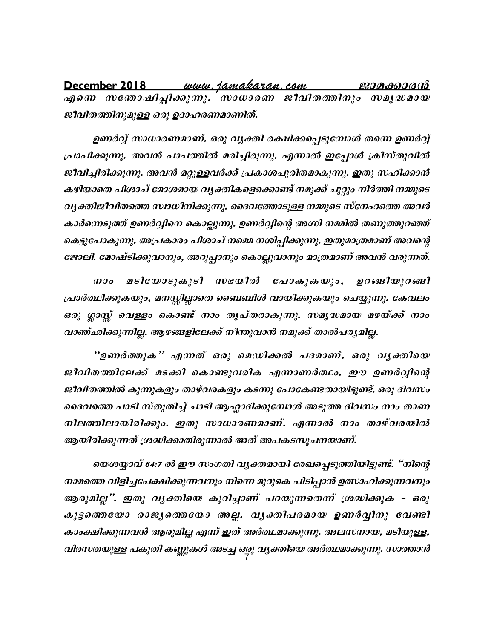December 2018 <u>www.jamakaran.com</u> ജാമക്കാരൻ എനെ സതോഷിപ്പിക്കുന്നു. നാധാരണ ജീവിതത്തിനും സമൃദ്ധമായ ജീവിതത്തിനുമുള്ള ഒരു ഉദാഹരണമാണിത്.

ഉണർവ്വ് സാധാരണമാണ്. ഒരു വൃക്തി രക്ഷിക്കപ്പെടുമ്പോൾ തന്നെ ഉണർവ്വ് പ്രാപിക്കുന്നു. അവൻ പാപത്തിൽ മരിച്ചിരുന്നു. എന്നാൽ ഇപ്പോൾ ക്രിസ്തുവിൽ ജീവിച്ചിരിക്കുന്നു. അവൻ മറ്റുള്ളവർക്ക് പ്രകാശപൂരിതമാകുന്നു. ഇതു സഹിക്കാൻ കഴിയാതെ പിശാച് മോശമായ വ്യക്തികളെക്കൊണ്ട് നമുക്ക് ചുറ്റും നിർത്തി നമ്മുടെ വൃക്തിജീവിതത്തെ സ്വാധീനിക്കുന്നു. ദൈവത്തോടുള്ള നമ്മുടെ സ്നേഹത്തെ അവർ കാർന്നെടുത്ത് ഉണർവ്വിനെ കൊല്ലുന്നു. ഉണർവ്വിന്റെ അഗ്നി നമ്മിൽ തണുത്തുറഞ്ഞ് കെട്ടുപോകുന്നു. അപ്രകാരം പിശാച് നമ്മെ നശിപ്പിക്കുന്നു. ഇതുമാത്രമാണ് അവന്റെ ജോലി. മോഷ്ടിക്കുവാനും, അറുപ്പാനും കൊല്ലുവാനും മാത്രമാണ് അവൻ വരുന്നത്.

 $\boldsymbol{0.90}$ മടിയോടുകൂടി സഭയിൽ പോകുകയും, ഉറങ്ങിയുറങ്ങി പ്രാർത്ഥിക്കുകയും, മനസ്സില്ലാതെ ബൈബിൾ വായിക്കുകയും ചെയ്യുന്നു. കേവലം ഒരു ഗ്ലാസ്സ് വെള്ളം കൊണ്ട് നാം തൃപ്തരാകുന്നു. സമൃദ്ധമായ മഴയ്ക്ക് നാം വാഞ്ഛിക്കുന്നില്ല. ആഴങ്ങളിലേക്ക് നീന്തുവാൻ നമുക്ക് താൽപര്യമില്ല.

"ഉണർത്തുക" എന്നത് ഒരു മെഡിക്കൽ പദമാണ്. ഒരു വൃക്തിയെ ജീവിതത്തിലേക്ക് മടക്കി കൊണ്ടുവരിക എന്നാണർത്ഥം. ഈ ഉണർവ്വിന്റെ ജീവിതത്തിൽ കുന്നുകളും താഴ്വരകളും കടന്നു പോകേണ്ടതായിട്ടുണ്ട്. ഒരു ദിവസം ദൈവത്തെ പാടി സ്തുതിച്ച് ചാടി ആഹ്ലാദിക്കുമ്പോൾ അടുത്ത ദിവസം നാം താണ നിലത്തിലായിരിക്കും. ഇതു സാധാരണമാണ്. എന്നാൽ നാം താഴ്വരയിൽ ആയിരിക്കുന്നത് ശ്രദ്ധിക്കാതിരുന്നാൽ അത് അപകടസൂചനയാണ്.

യെശയ്യാവ് 64:7 ൽ ഈ സംഗതി വൃക്തമായി രേഖപ്പെടുത്തിയിട്ടുണ്ട്. "നിന്റെ നാമത്തെ വിളിച്ചപേക്ഷിക്കുന്നവനും നിന്നെ മുറുകെ പിടിപ്പാൻ ഉത്സാഹിക്കുന്നവനും ആരുമില്ല". ഇതു വൃക്തിയെ കുറിച്ചാണ് പറയുന്നതെന്ന് ശ്രദ്ധിക്കുക - ഒരു കൂട്ടതെയോ രാജ്യത്തെയോ അല്ല. വ്യക്തിപരമായ ഉണർവ്വിനു വേണ്ടി കാംക്ഷിക്കുന്നവൻ ആരുമില്ല എന്ന് ഇത് അർത്ഥമാക്കുന്നു. അലസനായ, മടിയുള്ള, വിരസതയുള്ള പകുതി കണ്ണുകൾ അടച്ച ഒരു വ്യക്തിയെ അർത്ഥമാക്കുന്നു. സാത്താൻ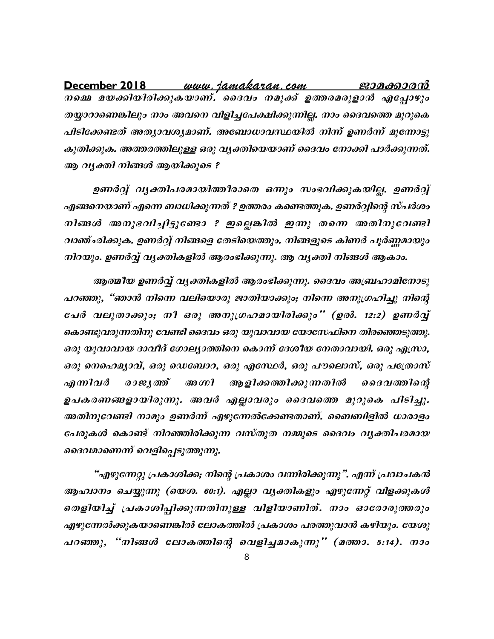<u>www.jamakaran.com</u> December 2018 ജാമക്കാരൻ നമ്മെ മയക്കിയിരിക്കുകയാണ്. ദൈവം നമുക്ക് ഉത്തരമരുളാൻ എപ്പോഴും തയ്യാറാണെങ്കിലും നാം അവനെ വിളിച്ചപേക്ഷിക്കുന്നില്ല. നാം ദൈവത്തെ മുറുകെ പിടിക്കേണ്ടത് അത്യാവശ്യമാണ്. അബോധാവസ്ഥയിൽ നിന്ന് ഉണർന്ന് മുന്നോട്ടു കുതിക്കുക. അത്തരത്തിലുള്ള ഒരു വ്യക്തിയെയാണ് ദൈവം നോക്കി പാർക്കുന്നത്. ആ വൃക്തി നിങ്ങൾ ആയിക്കുടെ ?

ഉണർവ്വ് വൃക്തിപരമായിത്തീരാതെ ഒന്നും സംഭവിക്കുകയില്ല. ഉണർവ്വ് എങ്ങനെയാണ് എന്നെ ബാധിക്കുന്നത് ? ഉത്തരം കണ്ടെത്തുക. ഉണർവ്വിന്റെ സ്പർശം നിങ്ങൾ അനുഭവിച്ചിട്ടുണ്ടോ ? ഇല്ലെങ്കിൽ ഇന്നു തന്നെ അതിനുവേണ്ടി വാഞ്ഛിക്കുക. ഉണർവ്വ് നിങ്ങളെ തേടിയെത്തും. നിങ്ങളുടെ കിണർ പൂർണ്ണമായും നിറയും. ഉണർവ്വ് വൃക്തികളിൽ ആരംഭിക്കുന്നു. ആ വൃക്തി നിങ്ങൾ ആകാം.

ആത്മീയ ഉണർവ്വ് വൃക്തികളിൽ ആരംഭിക്കുന്നു. ദൈവം അബ്രഹാമിനോടു പറഞ്ഞു, "ഞാൻ നിന്നെ വലിയൊരു ജാതിയാക്കും; നിന്നെ അനുഗ്രഹിച്ചു നിന്റെ പേർ വലുതാക്കും; നീ ഒരു അനുഗ്രഹമായിരിക്കും'' (ഉൽ. 12:2) ഉണർവ്വ് കൊണ്ടുവരുന്നതിനു വേണ്ടി ദൈവം ഒരു യുവാവായ യോസേഫിനെ തിരഞ്ഞെടുത്തു. ഒരു യുവാവായ ദാവീദ് ഗോല്യാത്തിനെ കൊന്ന് ദേശീയ നേതാവായി. ഒരു എസ്രാ, ഒരു നെഹെമൃാവ്, ഒരു ഡെബോറ, ഒരു എസേഥർ, ഒരു പൗലൊസ്, ഒരു പത്രോസ് എന്നിവർ രാജ്യത് അഗ്നി ആ ളിക്കത്തിക്കുന്ന തിൽ ദൈവത്തിന്റെ ഉപകരണങ്ങളായിരുന്നു. അവർ എല്ലാവരും ദൈവത്തെ മുറുകെ പിടിച്ചു. അതിനുവേണ്ടി നാമും ഉണർന്ന് എഴുന്നേൽക്കേണ്ടതാണ്. ബൈബിളിൽ ധാരാളം പേരുകൾ കൊണ്ട് നിറഞ്ഞിരിക്കുന്ന വസ്തുത നമ്മുടെ ദൈവം വൃക്തിപരമായ ദൈവമാണെന്ന് വെളിപ്പെടുത്തുന്നു.

"എഴുന്നേറ്റു പ്രകാശിക്ക; നിന്റെ പ്രകാശം വന്നിരിക്കുന്നു". എന്ന് പ്രവാചകൻ ആഹ്വാനം ചെയ്യുന്നു (യെശ. 60:1). എല്ലാ വൃക്തികളും എഴുന്നേറ്റ് വിളക്കുകൾ തെളിയിച്ച് പ്രകാശിപ്പിക്കുന്നതിനുള്ള വിളിയാണിത്. നാം ഓരോരുത്തരും എഴുന്നേൽക്കുകയാണെങ്കിൽ ലോകത്തിൽ പ്രകാശം പരത്തുവാൻ കഴിയും. യേശു പറഞ്ഞു, "നിങ്ങൾ ലോകത്തിന്റെ വെളിച്ചമാകുന്നു" (മത്താ. 5:14). നാം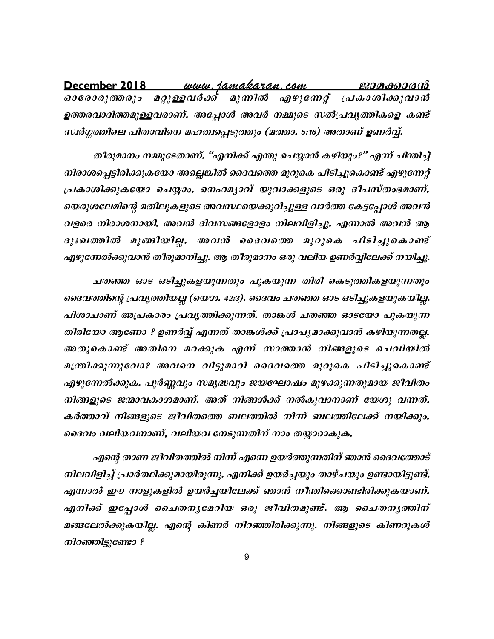<u>www.jamakaran.com</u> December 2018 <u>ജാമക്കാരൻ</u> മറ്റുള്ളവർക്ക് മുന്നിൽ എഴുന്നേറ്റ് പ്രകാശിക്കുവാൻ *ഓരോരുത്തരും* ഉത്തരവാദിത്തമുള്ളവരാണ്. അപ്പോൾ അവർ നമ്മുടെ സൽപ്രവൃത്തികളെ കണ്ട് സ്വർഗ്ഗത്തിലെ പിതാവിനെ മഹത്വപ്പെടുത്തും (മത്താ. 5:16) അതാണ് ഉണർവ്വ്.

തീരുമാനം നമ്മുടേതാണ്. "എനിക്ക് എന്തു ചെയ്യാൻ കഴിയും?" എന്ന് ചിന്തിച്ച് നിരാശപ്പെട്ടിരിക്കുകയോ അല്ലെങ്കിൽ ദൈവത്തെ മുറുകെ പിടിച്ചുകൊണ്ട് എഴുന്നേറ്റ് പ്രകാശിക്കുകയോ ചെയ്യാം. നെഹമൃാവ് യുവാക്കളുടെ ഒരു ദീപസ്തംഭമാണ്. യെരുശലേമിന്റെ മതിലുകളുടെ അവസ്ഥയെക്കുറിച്ചുള്ള വാർത്ത കേട്ടപ്പോൾ അവൻ വളരെ നിരാശനായി. അവൻ ദിവസങ്ങളോളം നിലവിളിച്ചു. എന്നാൽ അവൻ ആ ദുഃഖത്തിൽ മുങ്ങിയില്ല. അവൻ ദൈവത്തെ മുറുകെ പിടിച്ചുകൊണ്ട് എഴുന്നേൽക്കുവാൻ തീരുമാനിച്ചു. ആ തീരുമാനം ഒരു വലിയ ഉണർവ്വിലേക്ക് നയിച്ചു.

ചതഞ്ഞ ഓട ഒടിച്ചുകളയുന്നതും പുകയുന്ന തിരി കെടുത്തികളയുന്നതും ദൈവത്തിന്റെ പ്രവൃത്തിയല്ല (യെശ. 42:3). ദൈവം ചതഞ്ഞ ഓട ഒടിച്ചുകളയുകയില്ല. പിശാചാണ് അപ്രകാരം പ്രവൃത്തിക്കുന്നത്. താങ്കൾ ചതഞ്ഞ ഓടയോ പുകയുന്ന തിരിയോ ആണോ ? ഉണർവ്വ് എന്നത് താങ്കൾക്ക് പ്രാപൃമാക്കുവാൻ കഴിയുന്നതല്ല. അതുകൊണ്ട് അതിനെ മറക്കുക എന്ന് സാത്താൻ നിങ്ങളുടെ ചെവിയിൽ മന്ത്രിക്കുന്നുവോ? അവനെ വിട്ടുമാറി ദൈവത്തെ മുറുകെ പിടിച്ചുകൊണ്ട് എഴുന്നേൽക്കുക. പൂർണ്ണവും സമൃദ്ധവും ജയഘോഷം മുഴക്കുന്നതുമായ ജീവിതം നിങ്ങളുടെ ജന്മാവകാശമാണ്. അത് നിങ്ങൾക്ക് നൽകുവാനാണ് യേശു വന്നത്. കർത്താവ് നിങ്ങളുടെ ജീവിതത്തെ ബലത്തിൽ നിന്ന് ബലത്തിലേക്ക് നയിക്കും. ദൈവം വലിയവനാണ്, വലിയവ നേടുന്നതിന് നാം തയ്യാറാകുക.

എന്റെ താണ ജീവിതത്തിൽ നിന്ന് എന്നെ ഉയർത്തുന്നതിന് ഞാൻ ദൈവത്തോട് നിലവിളിച്ച് പ്രാർത്ഥിക്കുമായിരുന്നു. എനിക്ക് ഉയർച്ചയും താഴ്ചയും ഉണ്ടായിട്ടുണ്ട്. എന്നാൽ ഈ നാളുകളിൽ ഉയർച്ചയിലേക്ക് ഞാൻ നീന്തിക്കൊണ്ടിരിക്കുകയാണ്. എനിക്ക് ഇപ്പോൾ ചൈതനൃമേറിയ ഒരു ജീവിതമുണ്ട്. ആ ചൈതനൃത്തിന് മങ്ങലേൽക്കുകയില്ല. എന്റെ കിണർ നിറഞ്ഞിരിക്കുന്നു. നിങ്ങളുടെ കിണറുകൾ നിറഞ്ഞിട്ടുണ്ടോ ?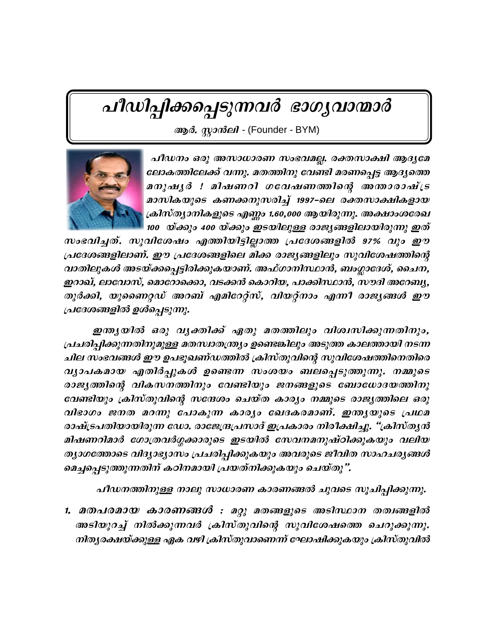# പീഡിപ്പിക്കപ്പെടുന്നവർ ഭാഗൃവാന്മാർ

ആർ. സ്റ്റാൻലി - (Founder - BYM)



പീഡനം ഒരു അസാധാരണ സംഭവമല്ല. രക്തസാക്ഷി ആദൃമേ ലോകത്തിലേക്ക് വന്നു. മതത്തിനു വേണ്ടി മരണപ്പെട്ട ആദ്യത്തെ മനുഷൃർ ! മിഷണറി ഗവേഷണത്തിന്റെ അന്താരാഷ്ട്ര മാസികയുടെ കണക്കനുസരിച്ച് 1997-ലെ രക്തസാക്ഷികളായ ക്രിസ്ത്യാനികളുടെ എണ്ണം 1.60,000 ആയിരുന്നു. അക്ഷാംശരേഖ 100 യ്ക്കും 400 യ്ക്കും ഇടയിലുള്ള രാജ്യങ്ങളിലായിരുന്നു ഇത്

സംഭവിച്ചത്. സുവിശേഷം എത്തിയിട്ടില്ലാത്ത പ്രദേശങ്ങളിൽ 97% വും ഈ പ്രദേശങ്ങളിലാണ്. ഈ പ്രദേശങ്ങളിലെ മിക്ക രാജ്യങ്ങളിലും സുവിശേഷത്തിന്റെ വാതിലുകൾ അടയ്ക്കപ്പെട്ടിരിക്കുകയാണ്. അഫ്ഗാനിസ്ഥാൻ, ബംഗ്ലാദേശ്, ചൈന, ഇറാഖ്, ലാവോസ്, മൊറോക്കൊ, വടക്കൻ കൊറിയ, പാക്കിസ്ഥാൻ, സൗദി അറേബ്യ, തുർക്കി, യുണൈറ്റഡ് അറബ് എമിറേറ്റ്സ്, വിയറ്റ്നാം എന്നീ രാജ്യങ്ങൾ ഈ പ്രദേശങ്ങളിൽ ഉൾപ്പെടുന്നു.

ഇന്ത്യയിൽ ഒരു വൃക്തിക്ക് ഏതു മതത്തിലും വിശ്വസിക്കുന്നതിനും, പ്രചരിപ്പിക്കുന്നതിനുമുള്ള മതസ്വാതന്ത്ര്യം ഉണ്ടെങ്കിലും അടുത്ത കാലത്തായി നടന്ന ചില സംഭവങ്ങൾ ഈ ഉപഭൂഖണ്ഡത്തിൽ ക്രിസ്തുവിന്റെ സുവിശേഷത്തിനെതിരെ വ്യാപകമായ എതിർപ്പുകൾ ഉണ്ടെന്ന സംശയം ബലപ്പെടുത്തുന്നു. നമ്മുടെ രാജ്യത്തിന്റെ വികസനത്തിനും വേണ്ടിയും ജനങ്ങളുടെ ബോധോദയത്തിനു വേണ്ടിയും ക്രിസ്തുവിന്റെ സന്ദേശം ചെയ്ത കാര്യം നമ്മുടെ രാജ്യത്തിലെ ഒരു വിഭാഗം ജനത മറന്നു പോകുന്ന കാര്യം ഖേദകരമാണ്. ഇന്ത്യയുടെ പ്രഥമ രാഷ്ട്രപതിയായിരുന്ന ഡോ. രാജേന്ദ്രപ്രസാദ് ഇപ്രകാരം നിരീക്ഷിച്ചു. "ക്രിസ്തൃൻ മിഷണറിമാർ ഗോത്രവർഗ്ഗക്കാരുടെ ഇടയിൽ സേവനമനുഷ്ഠിക്കുകയും വലിയ തൃാഗത്തോടെ വിദ്യാഭ്യാസം പ്രചരിപ്പിക്കുകയും അവരുടെ ജീവിത സാഹചര്യങ്ങൾ മെച്ചപ്പെടുത്തുന്നതിന് കഠിനമായി പ്രയത്നിക്കുകയും ചെയ്തു".

പീഡനത്തിനുള്ള നാലു സാധാരണ കാരണങ്ങൽ ചുവടെ സൂചിപ്പിക്കുന്നു.

1. മതപരമായ കാരണങ്ങൾ : മറ്റു മതങ്ങളുടെ അടിസ്ഥാന തത്വങ്ങളിൽ അടിയുറച്ച് നിൽക്കുന്നവർ ക്രിസ്തുവിന്റെ സുവിശേഷത്തെ ചെറുക്കുന്നു. നിതൃരക്ഷയ്ക്കുള്ള ഏക വഴി ക്രിസ്തുവാണെന്ന് ഘോഷിക്കുകയും ക്രിസ്തുവിൽ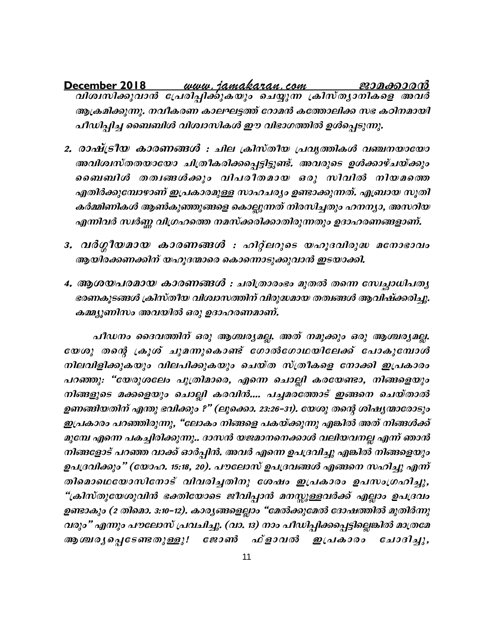ecember 2018 *— www.jamakaran.com — ജാമക്കാരൻ*<br>വിശ്വസിക്കുവാൻ പ്രേരിപ്പിക്കുകയും ചെയ്യുന്ന ക്രിസ്ത്യാനികളെ അവർ December 2018 ആക്രമിക്കുന്നു. നവീകരണ കാലഘട്ടത്ത് റോമൻ കത്തോലിക്ക സഭ കഠിനമായി പീഡിപ്പിച്ച ബൈബിൾ വിശ്വാസികൾ ഈ വിഭാഗത്തിൽ ഉൾപ്പെടുന്നു.

- 2. രാഷ്ട്രീയ കാരണങ്ങൾ : ചില ക്രിസ്തീയ പ്രവൃത്തികൾ വഞ്ചനയായോ അവിശ്വസ്തതയായോ ചിത്രീകരിക്കപ്പെട്ടിട്ടുണ്ട്. അവരുടെ ഉൾക്കാഴ്ചയ്ക്കും ബൈബിൾ തത്വങ്ങൾക്കും വിപരീതമായ ഒരു സിവിൽ നിയമത്തെ എതിർക്കുമ്പോഴാണ് ഇപ്രകാരമുള്ള സാഹചര്യം ഉണ്ടാക്കുന്നത്. എബ്രായ സൂതി കർമ്മിണികൾ ആൺകുഞ്ഞുങ്ങളെ കൊല്ലുന്നത് നിരസിച്ചതും ഹനന്യാ, അസറിയ എന്നിവർ സ്ഥർണ്ണ വിഗ്രഹത്തെ നമസ്ക്കരിക്കാതിരുന്നതും ഉദാഹരണങ്ങളാണ്.
- 3. വർഗ്ഗീയമായ കാരണങ്ങൾ : ഹിറ്റ്ലറുടെ യഹൂദവിരുദ്ധ മനോഭാവം ആയിരക്കണക്കിന് യഹൂദന്മാരെ കൊന്നൊടുക്കുവാൻ ഇടയാക്കി.
- 4. ആശയപരമായ കാരണങ്ങൾ : ചരിത്രാരംഭം മുതൽ തന്നെ സേച്ചാധിപതൃ ഭരണകൂടങ്ങൾ ക്രിസ്തീയ വിശ്വാസത്തിന് വിരുദ്ധമായ തത്വങ്ങൾ ആവിഷ്ക്കരിച്ചു. കമ്മ്യൂണിസം അവയിൽ ഒരു ഉദാഹരണമാണ്.

പീഡനം ദൈവത്തിന് ഒരു ആശ്ചര്യമല്ല. അത് നമുക്കും ഒരു ആശ്ചര്യമല്ല. യേശു തന്റെ ക്രൂശ് ചുമന്നുകൊണ്ട് ഗോൽഗോഥയിലേക്ക് പോകുമ്പോൾ നിലവിളിക്കുകയും വിലപിക്കുകയും ചെയ്ത സ്ത്രീകളെ നോക്കി ഇപ്രകാരം പറഞ്ഞു: "യേരുശലോ പുത്രിമാരെ, എന്നെ ചൊല്ലി കരയേണ്ടാ, നിങ്ങളെയും നിങ്ങളുടെ മക്കളെയും ചൊല്ലി കരവിൻ.... പച്ചമരത്തോട് ഇങ്ങനെ ചെയ്താൽ ഉണങ്ങിയതിന് എന്തു ഭവിക്കും ?" (ലൂക്കൊ. 23:26–31). യേശു തന്റെ ശിഷ്യന്മാരോടും ഇപ്രകാരം പറഞ്ഞിരുന്നു, "ലോകം നിങ്ങളെ പകയ്ക്കുന്നു എങ്കിൽ അത് നിങ്ങൾക്ക് മുമ്പേ എന്നെ പകച്ചിരിക്കുന്നു.. ദാസൻ യജമാനനെക്കാൾ വലിയവനല്ല എന്ന് ഞാൻ നിങ്ങളോട് പറഞ്ഞ വാക്ക് ഓർപ്പിൻ. അവർ എന്നെ ഉപദ്രവിച്ചു എങ്കിൽ നിങ്ങളെയും ഉപദ്രവിക്കും" (യോഹ. 15:18, 20). പൗലോസ് ഉപദ്രവങ്ങൾ എങ്ങനെ സഹിച്ചു എന്ന് തിമൊഥെയോസിനോട് വിവരിച്ചതിനു ശേഷം ഇപ്രകാരം ഉപസംഗ്രഹിച്ചു, "ക്രിസ്തുയേശുവിൻ ഭക്തിയോടെ ജീവിപ്പാൻ മനസ്സുള്ളവർക്ക് എല്ലാം ഉപദ്രവം ഉണ്ടാകും (2 തിമൊ. 3:10–12). കാര്യങ്ങളെല്ലാം "മേൽക്കുമേൽ ദോഷത്തിൽ മുതിർന്നു വരും" എന്നും പൗലോസ് പ്രവചിച്ചു. (വാ. 13) നാം പീഡിപ്പിക്കപ്പെട്ടില്ലെങ്കിൽ മാത്രമേ ഫ്ളാവൽ ഇപ്രകാരം ആശ്ചര്യപ്പെടേണ്ടതുള്ളൂ! ജോൺ  $6\mu\omega$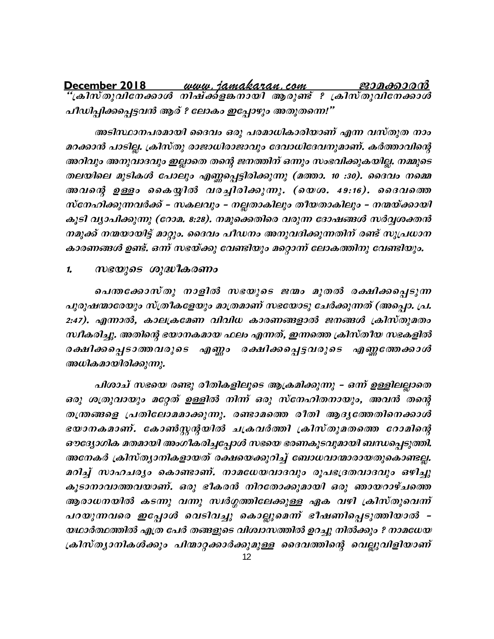<u>December 2018 </u> പീഡിപ്പിക്കപ്പെട്ടവൻ ആര് ? ലോകം ഇപ്പോഴും അതുതന്നെ!"

അടിസ്ഥാനപരമായി ദൈവം ഒരു പരമാധികാരിയാണ് എന്ന വസ്തുത നാം മറക്കാൻ പാടില്ല. ക്രിസ്തു രാജാധിരാജാവും ദേവാധിദേവനുമാണ്. കർത്താവിന്റെ അറിവും അനുവാദവും ഇല്ലാതെ തന്റെ ജനത്തിന് ഒന്നും സംഭവിക്കുകയില്ല. നമ്മുടെ തലയിലെ മുടികൾ പോലും എണ്ണപ്പെട്ടിരിക്കുന്നു (മത്താ. 10 :30). ദൈവം നമ്മെ അവന്റെ ഉള്ളം കൈയ്യിൽ വരച്ചിരിക്കുന്നു. (യെശ. 49:16). ദൈവത്തെ സ്നേഹിക്കുന്നവർക്ക് – സകലവും – നല്ലതാകിലും തീയതാകിലും – നന്മയ്ക്കായി കൂടി വ്യാപിക്കുന്നു (റോമ. 8:28). നമുക്കെതിരെ വരുന്ന ദോഷങ്ങൾ സർവ്വശക്തൻ നമുക്ക് നന്മയായിട്ട് മാറ്റും. ദൈവം പീഡനം അനുവദിക്കുന്നതിന് രണ്ട് സുപ്രധാന കാരണങ്ങൾ ഉണ്ട്. ഒന്ന് സഭയ്ക്കു വേണ്ടിയും മറ്റൊന്ന് ലോകത്തിനു വേണ്ടിയും.

സഭയുടെ ശുദ്ധീകരണം 1.

പെന്തക്കോസ്തു നാളിൽ സഭയുടെ ജന്മം മുതൽ രക്ഷിക്കപ്പെടുന്ന പുരുഷന്മാരേയും സ്ത്രീകളേയും മാത്രമാണ് സഭയോടു ചേർക്കുന്നത് (അപ്പൊ. പ്ര. 2:47). എന്നാൽ, കാലക്രമേണ വിവിധ കാരണങ്ങളാൽ ജനങ്ങൾ ക്രിസ്തുമതം സ്ഥീകരിച്ചു. അതിന്റെ ഭയാനകമായ ഫലം എന്നത്, ഇന്നത്തെ ക്രിസ്തീയ സഭകളിൽ രക്ഷിക്കപ്പെടാത്തവരുടെ എണ്ണം രക്ഷിക്കപ്പെട്ടവരുടെ എണ്ണത്തേക്കാൾ അധികമായിരിക്കുന്നു.

പിശാച് സഭയെ രണ്ടു രീതികളിലൂടെ ആക്രമിക്കുന്നു – ഒന്ന ഉള്ളിലല്ലാതെ ഒരു ശത്രുവായും മറ്റേത് ഉള്ളിൽ നിന്ന് ഒരു സ്നേഹിതനായും, അവൻ തന്റെ തന്ത്രങ്ങളെ പ്രതിലോമമാക്കുന്നു. രണ്ടാമത്തെ രീതി ആദൃത്തേതിനെക്കാൾ ഭയാനകമാണ്. കോൺസ്റ്റന്റയിൽ ചക്രവർത്തി ക്രിസ്തുമതത്തെ റോമിന്റെ ഔദ്യോഗിക മതമായി അംഗീകരിച്ചപ്പോൾ സഭയെ ഭരണകൂടവുമായി ബന്ധപ്പെടുത്തി. അനേകർ ക്രിസ്ത്യാനികളായത് രക്ഷയെക്കുറിച്ച് ബോധവാന്മാരായതുകൊണ്ടല്ല. മറിച്ച് സാഹചര്യം കൊണ്ടാണ്. നാമധേയവാദവും രൂപഭദ്രതവാദവും ഒഴിച്ചു കൂടാനാവാത്തവയാണ്. ഒരു ഭീകരൻ നിറതോക്കുമായി ഒരു ഞായറാഴ്ചത്തെ ആരാധനയിൽ കടന്നു വന്നു സ്ഥർഗ്ഗത്തിലേക്കുള്ള ഏക വഴി ക്രിസ്തുവെന്ന് പറയുന്നവരെ ഇപ്പോൾ വെടിവച്ചു കൊല്ലുമെന്ന് ഭീഷണിപ്പെടുത്തിയാൽ -യഥാർത്ഥത്തിൽ എത്ര പേർ തങ്ങളുടെ വിശ്വാസത്തിൽ ഉറച്ചു നിൽക്കും ? നാമധേയ ക്രിസ്ത്യാനികൾക്കും പിന്മാറ്റക്കാർക്കുമുള്ള ദൈവത്തിന്റെ വെല്ലുവിളിയാണ്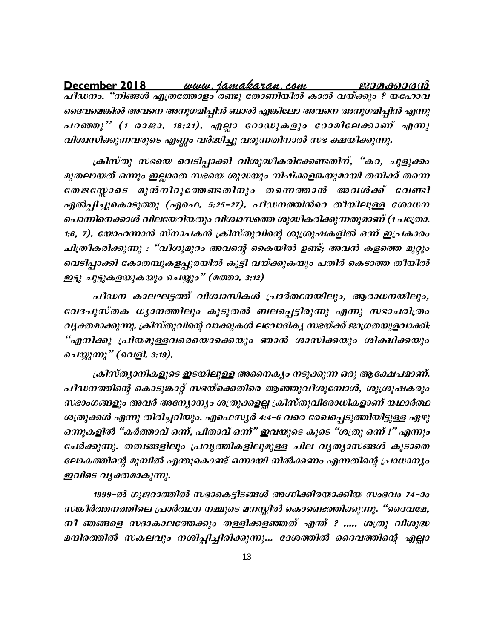ദൈവമെങ്കിൽ അവനെ അനുഗമിപ്പിൻ ബാൽ എങ്കിലോ അവനെ അനുഗമിപ്പിൻ എന്നു പറഞ്ഞു'' (1 രാജാ. 18:21). എല്ലാ റോഡുകളും റോമിലേക്കാണ് എന്നു വിശ്വസിക്കുന്നവരുടെ എണ്ണം വർദ്ധിച്ചു വരുന്നതിനാൽ സഭ ക്ഷയിക്കുന്നു.

ക്രിസ്തു സഭയെ വെടിപ്പാക്കി വിശുദ്ധീകരിക്കേണ്ടതിന്, "കറ, ചുളുക്കം മുതലായത് ഒന്നും ഇല്ലാതെ സഭയെ ശുദ്ധയും നിഷ്ക്കളങ്കയുമായി തനിക്ക് തന്നെ തേജസ്സോടെ മുൻനിറുത്തേണ്ടതിനും തന്നെത്താൻ അവൾക്ക് വേണ്ടി ഏൽപ്പിച്ചുകൊടുത്തു (ഏഫെ. 5:25–27). പീഡനത്തിൻറെ തീയിലുള്ള ശോധന പൊന്നിനെക്കാൾ വിലയേറിയതും വിശ്വാസത്തെ ശുദ്ധീകരിക്കുന്നതുമാണ് (1 പത്രോ. 1:6, 7). യോഹന്നാൻ സ്നാപകൻ ക്രിസ്തുവിന്റെ ശുശ്രൂഷകളിൽ ഒന്ന് ഇപ്രകാരം ചിത്രീകരിക്കുന്നു : "വീശുമുറം അവന്റെ കൈയിൽ ഉണ്ട്; അവൻ കളത്തെ മുറ്റും വെടിപ്പാക്കി കോതമ്പുകളപ്പുരയിൽ കൂട്ടി വയ്ക്കുകയും പതിർ കെടാത്ത തീയിൽ ഇട്ടു ചുട്ടുകളയുകയും ചെയ്യും" (മത്താ. 3:12)

പീഡന കാലഘട്ടത്ത് വിശ്വാസികൾ പ്രാർത്ഥനയിലും, ആരാധനയിലും, വേദപുസ്തക ധ്യാനത്തിലും കൂടുതൽ ബലപ്പെട്ടിരുന്നു എന്നു സഭാചരിത്രം വ്യക്തമാക്കുന്നു. ക്രിസ്തുവിന്റെ വാക്കുകൾ ലവോദികൃ സഭയ്ക്ക് ജാഗ്രതയുളവാക്കി: "എനിക്കു പ്രിയമുള്ളവരെയൊക്കെയും ഞാൻ ശാസിക്കയും ശിക്ഷിക്കയും ചെയ്യുന്നു" (വെളി. 3:19).

ക്രിസ്ത്യാനികളുടെ ഇടയിലുള്ള അനൈക്യം നടുക്കുന്ന ഒരു ആക്ഷേപമാണ്. പീഡനത്തിന്റെ കൊടുങ്കാറ്റ് സഭയ്ക്കെതിരെ ആഞ്ഞുവീശുമ്പോൾ, ശുശ്രൂഷകരും സഭാംഗങ്ങളും അവർ അന്യോന്യം ശത്രുക്കളല്ല ക്രിസ്തുവിരോധികളാണ് യഥാർത്ഥ ശത്രുക്കൾ എന്നു തിരിച്ചറിയും. എഫെസ്യർ 4:4–6 വരെ രേഖപ്പെടുത്തിയിട്ടുള്ള ഏഴു ഒന്നുകളിൽ "കർത്താവ് ഒന്ന്, പിതാവ് ഒന്" ഇവയുടെ കൂടെ "ശത്രു ഒന്ന് !" എന്നും ചേർക്കുന്നു. തത്വങ്ങളിലും പ്രവൃത്തികളിലുമുള്ള ചില വൃത്യാസങ്ങൾ കൂടാതെ ലോകത്തിന്റെ മുമ്പിൽ എന്തുകൊണ്ട് ഒന്നായി നിൽക്കണം എന്നതിന്റെ പ്രാധാന്യം ഇവിടെ വൃക്തമാകുന്നു.

1999–ൽ ഗുജറാത്തിൽ സഭാകെട്ടിടങ്ങൾ അഗ്നിക്കിരയാക്കിയ സംഭവം 74–ാം സങ്കീർത്തനത്തിലെ പ്രാർത്ഥന നമ്മുടെ മനസ്സിൽ കൊണ്ടെത്തിക്കുന്നു. "ദൈവമേ, നീ ഞങ്ങളെ സദാകാലത്തേക്കും തള്ളിക്കളഞ്ഞത് എന്ത് ? ..... ശത്രു വിശുദ്ധ മന്ദിരത്തിൽ സകലവും നശിപ്പിച്ചിരിക്കുന്നു... ദേശത്തിൽ ദൈവത്തിന്റെ എല്ലാ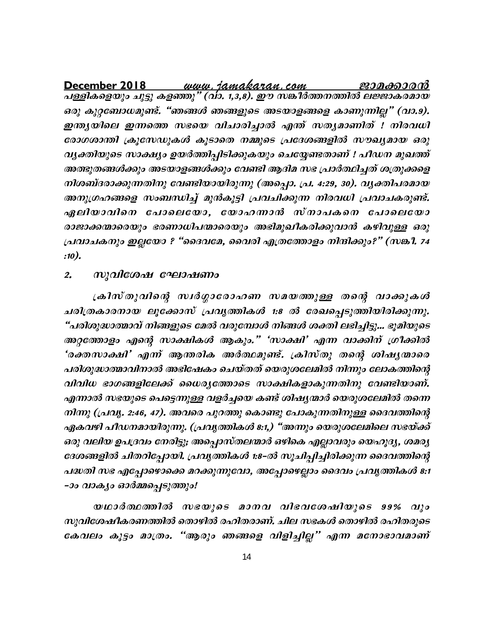**December 2018** www.jamakaran.com **Pma¡mc³** പള്ളികളെയും ചുട്ടു കളഞ്ഞു" (വാ. 1,3,8). ഈ സങ്കീർത്തനത്തിൽ ലജ്ജാകരമായ ഒരു കൂറ്റബോധമുണ്ട്. "ഞങ്ങൾ ഞങ്ങളുടെ അടയാളങ്ങളെ കാണുന്നില്ല" (വാ.9). <mark>December 2018 *… www. jamakaran.com … ജാമക്കാരൻ*<br>പള്ളികളെയും ചുട്ടു കളഞ്ഞു" (വാ. 1,3,8). ഈ സങ്കീർത്തനത്തിൽ ലജ്ജാകരമായ<br>ഒരു കുറ്റബോധമുണ്ട്. "ഞങ്ങൾ ഞങ്ങളുടെ അടയാളങ്ങളെ കാണുന്നില്ല" (വാ.9).<br>ഇന്ത്യയിലെ ഇന്നത്തെ സഭയെ വിചാരിച്ച</mark> രോഗശാന്തി ക്രൂസേഡുകൾ കൂടാതെ നമ്മുടെ പ്രദേശങ്ങളിൽ സൗഖ്യമായ ഒരു വൃക്തിയുടെ സാക്ഷ്യം ഉയർത്തിപ്പിടിക്കുകയും ചെയ്യേണ്ടതാണ് ! പീഡന മുഖത്ത് അത്ഭുതങ്ങൾക്കും അടയാളങ്ങൾക്കും വേണ്ടി ആദിമ സഭ പ്രാർത്ഥിച്ചത് ശത്രുക്കളെ നിശബ്ദരാക്കുന്നതിനു വേണ്ടിയായിരുന്നു (അപ്പൊ. പ്ര. 4:29, 30). വൃക്തിപരമായ അനുഗ്രഹങ്ങളെ സംബന്ധിച്ച് മുൻകൂട്ടി പ്രവചിക്കുന്ന നിരവധി പ്രവാചകരുണ്ട്. വൃക്തിയുടെ സാക്ഷ്യാ ഉയരത്തിപ്പിടിക്കുകയുാ ചെയ്യേണ്ടതാണ് ! പിഡന മൂഖത്ത<br>അത്ഭുതങ്ങൾക്കും അടയാളങ്ങൾക്കും വേണ്ടി ആദിമ സഭ പ്രാർത്ഥിച്ചത് ശത്രുക്കളെ<br>നിശബ്ദരാക്കുന്നതിനു വേണ്ടിയായിരുന്നു (അപ്പൊ. പ്ര. 4:29, 30). വൃക്തിപരമായ<br>അനുഗ്ര രാജാക്കന്മാരെയും ഭരണാധിപന്മാരെയും അഭിമുഖീകരിക്കുവാൻ കഴിവുള്ള ഒരു പ്രവാചകനും ഇല്ലയോ ? "ദൈവമേ, വൈരി എത്രത്തോളം നിന്ദിക്കും?" (സങ്കീ. 74 :10).

### 2. *M*) വിശേഷ ഘോഷണം

പകനും ഇല്ലയോ ? "ദൈവമേ, വൈരി എത്രത്തോളം നിന്ദിക്കും?" (സങ്കീ. 74<br>സുവിശേഷ ഘോഷണം<br>ക്രിസ്തുവിന്റെ സ്വർഗ്ഗാരോഹണ സമയത്തുള്ള തന്റെ വാക്കുകൾ<br>കാരനായ ലൂക്കോസ് പ്രവൃത്തികൾ 1:8 ൽ രേഖപ്പെടുത്തിയിരിക്കുന്നു.<br>രുദ്ധാത്മാവ് നിങ്ങ :10).<br>2. സുവിശേഷ ഘോഷണം<br>എിത്രകാരനായ ലുക്കോസ് പ്രവൃത്തികൾ 1:8 ൽ രേഖപ്പെടുത്തിയിരിക്കുന്നു.<br>"പരിശുദ്ധാത്മാവ് നിങ്ങളുടെ മേൽ വരുമ്പോൾ നിങ്ങൾ ശക്തി ലഭിച്ചിട്ടു... ഭൂമിയുടെ<br>ആത്തോളം എന്റെ സാക്ഷികൾ ആകും." 'സാക്ഷി' എന്ന വാക്കിന് ഗ് "പരിശുദ്ധാത്മാവ് നിങ്ങളുടെ മേൽ വരുമ്പോൾ നിങ്ങൾ ശക്തി ലഭിച്ചിട്ടു... ഭൂമിയുടെ അറ്റത്തോളം എന്റെ സാക്ഷികൾ ആകും." 'സാക്ഷി' എന്ന വാക്കിന് ഗ്രീക്കിൽ ്രക്സ് രുവ്വന്റെ സ്ഥര്ഗ്ഗാരോഹണ സമയ്ത്തുള്ള തന്റെ വാക്കുക്കാ<br>ചരിത്രകാരനായ ലൂക്കോസ് പ്രവൃത്തികൾ 1:8 ൽ രേഖപ്പെടുത്തിയിരിക്കുന്നു.<br>"പരിശുദ്ധാത്മാവ് നിങ്ങളുടെ മേൽ വരുമ്പോൾ നിങ്ങൾ ശക്തി ലഭിച്ചിട്ടു... ഭൂമിയുടെ<br>അറ്റത്തോളം എന്റെ പരിശുദ്ധാത്മാവിനാൽ അഭിഷേകം ചെയ്തത് യെരുശലേമിൽ നിന്നും ലോകത്തിന്റെ വിവിധ ഭാഗങ്ങളിലേക്ക് ധൈരൃത്തോടെ സാക്ഷികളാകുന്നതിനു വേണ്ടിയാണ്. എന്നാൽ സഭയുടെ പെട്ടെന്നുള്ള വളർച്ചയെ കണ്ട് ശിഷ്യന്മാർ യെരുശലേമിൽ തന്നെ  $\langle n|m \rangle$  ((പവൃ. 2:46, 47). അവരെ പുറത്തു കൊണ്ടു പോകുന്നതിനുള്ള ദൈവത്തിന്റെ ഏകവഴി പീഡനമായിരുന്നു. (പ്രവൃത്തികൾ  $s$ :1,) "അന്നും യെരുശലേമിലെ സഭയ്ക്ക് ഒരു വലിയ ഉപദ്രവം നേരിട്ടു; അപ്പൊസ്തലന്മാർ ഒഴികെ എല്ലാവരും യെഹൂദ്യ, ശമര്യ ദേശങ്ങളിൽ ചിതറിപ്പോയി. പ്രവൃത്തികൾ 1:8-ൽ സൂചിപ്പിച്ചിരിക്കുന്ന ദൈവത്തിന്റെ<br>പദ്ധതി സഭ എപ്പോഴൊക്കെ മറക്കുന്നുവോ, അപ്പോഴെല്ലാം ദൈവം പ്രവൃത്തികൾ 8:1<br>-ാം വാക്യം ഓർമ്മപ്പെടുത്തും/<br>സുവിശേഷീകരണത്തിൽ തൊഴിൽ രഹിതരാണ്. ചില സഭകൾ തൊഴിൽ പദ്ധതി സഭ എപ്പോഴൊക്കെ മറക്കുന്നുവോ, അപ്പോഴെല്ലാം ദൈവം പ്രവൃത്തികൾ 8:1 -ാം വാകൃം ഓർമ്മപ്പെടുത്തും!

സുവിശേഷീകരണത്തിൽ തൊഴിൽ രഹിതരാണ്. ചില സഭകൾ തൊഴിൽ രഹിതരുടെ -ാം വാക്യം ഓർമ്മപ്പെടുത്തും!<br>യഥാർത്ഥത്തിൽ സഭയുടെ മാനവ വിഭവശേഷിയുടെ 99% വും<br>സുവിശേഷീകരണത്തിൽ തൊഴിൽ രഹിതരാണ്. ചില സഭകൾ തൊഴിൽ രഹിതരുടെ<br>കേവലം കൂട്ടം മാത്രം. "ആരും ഞങ്ങളെ വിളിച്ചില്ല" എന്ന മനോഭാവമാണ്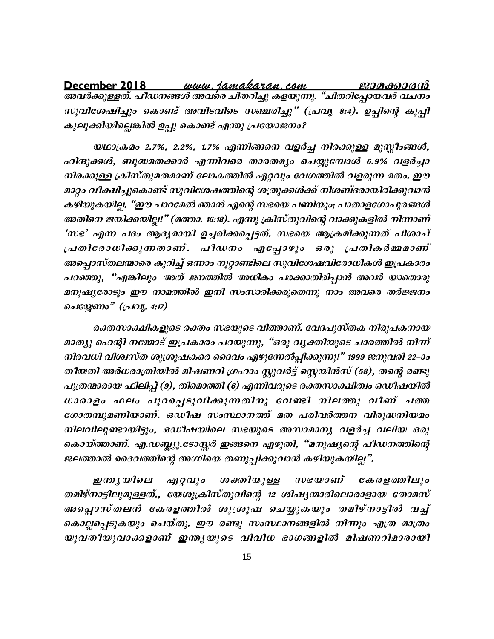സുവിശേഷിച്ചും കൊണ്ട് അവിടവിടെ സഞ്ചരിച്ചു" (പ്രവൃ 8:4). ഉപ്പിന്റെ കുപ്പി കുലുക്കിയില്ലെങ്കിൽ ഉപ്പു കൊണ്ട് എന്തു പ്രയോജനം?

യഥാക്രമം 2.7%, 2.2%, 1.7% എന്നിങ്ങനെ വളർച്ച നിരക്കുള്ള മുസ്ലീംങ്ങൾ, ഹിന്ദുക്കൾ, ബുദ്ധമതക്കാർ എന്നിവരെ താരതമ്യം ചെയ്യുമ്പോൾ 6.9% വളർച്ചാ നിരക്കുള്ള ക്രിസ്തുമതമാണ് ലോകത്തിൽ ഏറ്റവും വേഗത്തിൽ വളരുന്ന മതം. ഈ മാറ്റം വീക്ഷിച്ചുകൊണ്ട് സുവിശേഷത്തിന്റെ ശത്രുക്കൾക്ക് നിശബ്ദരായിരിക്കുവാൻ കഴിയുകയില്ല. "ഈ പാറമേൽ ഞാൻ എന്റെ സഭയെ പണിയും; പാതാളഗോപുരങ്ങൾ അതിനെ ജയിക്കയില്ല!" (മത്താ. 16:18). എന്നു ക്രിസ്തുവിന്റെ വാക്കുകളിൽ നിന്നാണ് 'സഭ' എന്ന പദം ആദ്യമായി ഉച്ചരിക്കപ്പെട്ടത്. സഭയെ ആക്രമിക്കുന്നത് പിശാച് പ്രതിരോധിക്കുന്നതാണ്. പീഡനം എപ്പോഴും ഒരു പ്രതികർമ്മമാണ് അപ്പൊസ്തലന്മാരെ കുറിച്ച് ഒന്നാം നൂറ്റാണ്ടിലെ സുവിശേഷവിരോധികൾ ഇപ്രകാരം പറഞ്ഞു, "എങ്കിലും അത് ജനത്തിൽ അധികം പരക്കാതിരിപ്പാൻ അവർ യാതൊരു മനുഷ്യരോടും ഈ നാമത്തിൽ ഇനി സംസാരിക്കരുതെന്നു നാം അവരെ തർജ്ജനം ചെയ്യേണം" (പ്രവ്യ. 4:17)

രക്തസാക്ഷികളുടെ രക്തം സഭയുടെ വിത്താണ്. വേദപുസ്തക നിരൂപകനായ മാത്യു ഹെന്റി നമ്മോട് ഇപ്രകാരം പറയുന്നു, "ഒരു വ്യക്തിയുടെ ചാരത്തിൽ നിന്ന് നിരവധി വിശ്വസ്ത ശുശ്രൂഷകരെ ദൈവം എഴുന്നേൽപ്പിക്കുന്നു!" 1999 ജനുവരി 22–ാം തീയതി അർധരാത്രിയിൽ മിഷണറി ഗ്രഹാം സ്റ്റുവർട്ട് സ്റ്റെയിൻസ് (58), തന്റെ രണ്ടു പുത്രന്മാരായ ഫിലിപ്പ് (9), തിമൊത്തി (6) എന്നിവരുടെ രക്തസാക്ഷിത്വം ഒഡീഷയിൽ ധാരാളം ഫലം പുറപ്പെടുവിക്കുന്നതിനു വേണ്ടി നിലത്തു വീണ് ചത്ത ഗോതമ്പുമണിയാണ്. ഒഡീഷ സംസ്ഥാനത്ത് മത പരിവർത്തന വിരുദ്ധനിയമം നിലവിലുണ്ടായിട്ടും, ഒഡീഷയിലെ സഭയുടെ അസാമാന്യ വളർച്ച വലിയ ഒരു കൊയ്ത്താണ്. എ.ഡബ്ല്യൂ.ടോസ്സർ ഇങ്ങനെ എഴുതി, "മനുഷ്യന്റെ പീഡനത്തിന്റെ ജലത്താൽ ദൈവത്തിന്റെ അഗ്നിയെ തണുപ്പിക്കുവാൻ കഴിയുകയില്ല".

ശക്തിയുള്ള സഭയാണ് കേരളത്തിലും ഇന്ത്യയിലെ ഏറ്റവും തമിഴ്നാട്ടിലുമുള്ളത്., യേശുക്രിസ്തുവിന്റെ 12 ശിഷ്യന്മാരിലൊരാളായ തോമസ് അപ്പൊസ്തലൻ കേരളത്തിൽ ശുശ്രൂഷ ചെയ്യുകയും തമിഴ്നാട്ടിൽ വച്ച് കൊല്ലപ്പെടുകയും ചെയ്തു. ഈ രണ്ടു സംസ്ഥാനങ്ങളിൽ നിന്നും എത്ര മാത്രം യുവതീയുവാക്കളാണ് ഇന്ത്യയുടെ വിവിധ ഭാഗങ്ങളിൽ മിഷണറിമാരായി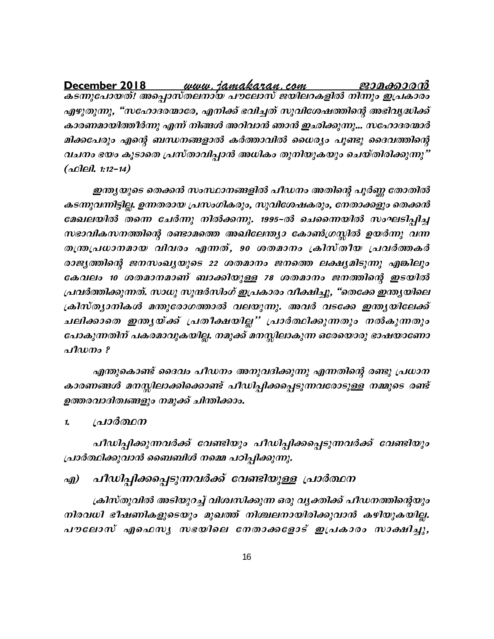എഴുതുന്നു, "സഹോദരന്മാരേ, എനിക്ക് ഭവിച്ചത് സുവിശേഷത്തിന്റെ അഭിവൃദ്ധിക്ക് കാരണമായിത്തീർന്നു എന്ന് നിങ്ങൾ അറിവാൻ ഞാൻ ഇഛിക്കുന്നു... സഹോദരന്മാർ മിക്കപേരും എന്റെ ബന്ധനങ്ങളാൽ കർത്താവിൽ ധൈര്യം പൂണ്ടു ദൈവത്തിന്റെ വചനം ഭയം കൂടാതെ പ്രസ്താവിപ്പാൻ അധികം തുനിയുകയും ചെയ്തിരിക്കുന്നു"  $(a$ Oleil. 1:12-14)

ഇന്ത്യയുടെ തെക്കൻ സംസ്ഥാനങ്ങളിൽ പീഡനം അതിന്റെ പൂർണ്ണ തോതിൽ കടന്നുവന്നിട്ടില്ല. ഉന്നതരായ പ്രസംഗികരും, സുവിശേഷകരും, നേതാക്കളും തെക്കൻ മേഖലയിൽ തന്നെ ചേർന്നു നിൽക്കന്നു. 1995-ൽ ചെന്നൈയിൽ സംഘടിപ്പിച്ച സഭാവികസനത്തിന്റെ രണ്ടാമത്തെ അഖിലേന്ത്യാ കോൺഗ്രസ്സിൽ ഉയർന്നു വന്ന തന്ത്രപ്രധാനമായ വിവരം എന്നത്, 90 ശതമാനം ക്രിസ്തീയ പ്രവർത്തകർ രാജ്യത്തിന്റെ ജനസംഖ്യയുടെ 22 ശതമാനം ജനത്തെ ലക്ഷ്യമിടുന്നു എങ്കിലും കേവലം 10 ശതമാനമാണ് ബാക്കിയുള്ള 78 ശതമാനം ജനത്തിന്റെ ഇടയിൽ പ്രവർത്തിക്കുന്നത്. സാധു സുന്ദർസിംഗ് ഇപ്രകാരം വീക്ഷിച്ചു, "തെക്കേ ഇന്ത്യയിലെ ക്രിസ്ത്യാനികൾ മന്തുരോഗത്താൽ വലയുന്നു. അവർ വടക്കേ ഇന്ത്യയിലേക്ക് ചലിക്കാതെ ഇന്തൃയ്ക്ക് പ്രതീക്ഷയില്ല" പ്രാർത്ഥിക്കുന്നതും നൽകുന്നതും പോകുന്നതിന് പകരമാവുകയില്ല. നമുക്ക് മനസ്സിലാകുന്ന ഒരേയൊരു ഭാഷയാണോ പീഡനം ?

എന്തുകൊണ്ട് ദൈവം പീഡനം അനുവദിക്കുന്നു എന്നതിന്റെ രണ്ടു പ്രധാന കാരണങ്ങൾ മനസ്സിലാക്കിക്കൊണ്ട് പീഡിപ്പിക്കപ്പെടുന്നവരോടുള്ള നമ്മുടെ രണ്ട് ഉത്തരവാദിത്വങ്ങളും നമുക്ക് ചിന്തിക്കാം.

പ്രാർത്ഥന  $\mathbf{1}$ 

പീഡിപ്പിക്കുന്നവർക്ക് വേണ്ടിയും പീഡിപ്പിക്കപ്പെടുന്നവർക്ക് വേണ്ടിയും പ്രാർത്ഥിക്കുവാൻ ബൈബിൾ നമ്മെ പഠിപ്പിക്കുന്നു.

#### പീഡിപ്പിക്കപ്പെടുന്നവർക്ക് വേണ്ടിയുള്ള പ്രാർത്ഥന എ)

ക്രിസ്തുവിൽ അടിയുറച്ച് വിശ്വസിക്കുന്ന ഒരു വൃക്തിക്ക് പീഡനത്തിന്റെയും നിരവധി ഭീഷണികളുടെയും മുഖത്ത് നിശ്ചലനായിരിക്കുവാൻ കഴിയുകയില്ല. പൗലോസ് എഫെസൃ സഭയിലെ നേതാക്കളോട് ഇപ്രകാരം സാക്ഷിച്ചു,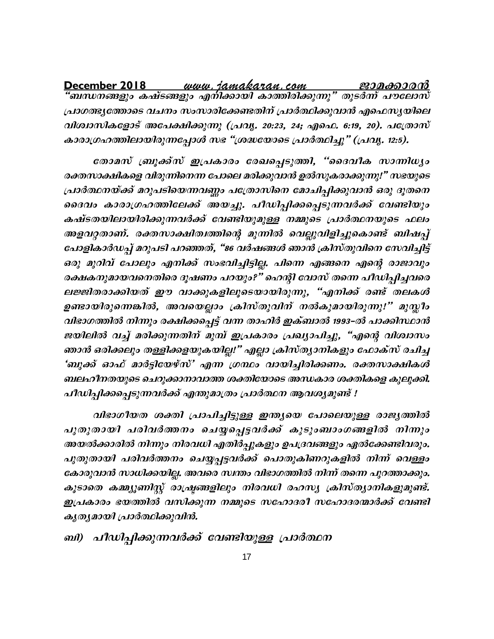December 2018 പ്രാഗത്ഭ്യത്തോടെ വചനം സംസാരിക്കേണ്ടതിന് പ്രാർത്ഥിക്കുവാൻ എഫെസ്യയിലെ വിശ്വാസികളോട് അപേക്ഷിക്കുന്നു (പ്രവൃ. 20:23, 24; എഫെ. 6:19, 20). പത്രോസ് കാരാഗ്രഹത്തിലായിരുന്നപ്പോൾ സഭ "ശ്രദ്ധയോടെ പ്രാർത്ഥിച്ചു" (പ്രവൃ. 12:5).

തോമസ് ബ്രൂക്ക്സ് ഇപ്രകാരം രേഖപ്പെടുത്തി, "ദൈവീക സാന്നിധ്യം രക്തസാക്ഷികളെ വിരുന്നിനെന്ന പോലെ മരിക്കുവാൻ ഉൽസുകരാക്കുന്നു!" സഭയുടെ പ്രാർത്ഥനയ്ക്ക് മറുപടിയെന്നവണ്ണം പത്രോസിനെ മോചിപ്പിക്കുവാൻ ഒരു ദൂതനെ ദൈവം കാരാഗ്രഹത്തിലേക്ക് അയച്ചു. പീഡിപ്പിക്കപ്പെടുന്നവർക്ക് വേണ്ടിയും കഷ്ടതയിലായിരിക്കുന്നവർക്ക് വേണ്ടിയുമുള്ള നമ്മുടെ പ്രാർത്ഥനയുടെ ഫലം അളവറ്റതാണ്. രക്തസാക്ഷിത്വത്തിന്റെ മുന്നിൽ വെല്ലുവിളിച്ചുകൊണ്ട് ബിഷപ്പ് പോളികാർഡപ്പ് മറുപടി പറഞ്ഞത്, "86 വർഷങ്ങൾ ഞാൻ ക്രിസ്തുവിനെ സേവിച്ചിട്ട് ഒരു മുറിവ് പോലും എനിക്ക് സംഭവിച്ചിട്ടില്ല. പിന്നെ എങ്ങനെ എന്റെ രാജാവും രക്ഷകനുമായവനെതിരെ ദൂഷണം പറയും?" ഹെന്റി വോസ് തന്നെ പീഡിപ്പിച്ചവരെ ലജ്ജിതരാക്കിയത് ഈ വാക്കുകളിലൂടെയായിരുന്നു, "എനിക്ക് രണ്ട് തലകൾ ഉണ്ടായിരുന്നെങ്കിൽ, അവയെല്ലാം ക്രിസ്തുവിന് നൽകുമായിരുന്നു!" മുസ്ലീം വിഭാഗത്തിൽ നിന്നും രക്ഷിക്കപ്പെട്ട് വന്ന താഹിർ ഇക്ബാൽ 1993-ൽ പാക്കിസ്ഥാൻ ജയിലിൽ വച്ച് മരിക്കുന്നതിന് മുമ്പ് ഇപ്രകാരം പ്രഖ്യാപിച്ചു, "എന്റെ വിശ്വാസം ഞാൻ ഒരിക്കലും തള്ളിക്കളയുകയില്ല!" എല്ലാ ക്രിസ്ത്യാനികളും ഫോക്സ് രചിച്ച 'ബുക്ക് ഓഫ് മാർട്ടിയേഴ്സ്' എന്ന ഗ്രന്ഥം വായിച്ചിരിക്കണം. രക്തസാക്ഷികൾ ബലഹീനതയുടെ ചെറുക്കാനാവാത്ത ശക്തിയോടെ അന്ധകാര ശക്തികളെ കുലുക്കി. പീഡിപ്പിക്കപ്പെടുന്നവർക്ക് എന്തുമാത്രം പ്രാർത്ഥന ആവശ്യമുണ്ട് !

വിഭാഗീയത ശക്തി പ്രാപിച്ചിട്ടുള്ള ഇന്ത്യയെ പോലെയുള്ള രാജ്യത്തിൽ പുതുതായി പരിവർത്തനം ചെയ്യപ്പെട്ടവർക്ക് കുടുംബാംഗങ്ങളിൽ നിന്നും അയൽക്കാരിൽ നിന്നും നിരവധി എതിർപ്പുകളും ഉപദ്രവങ്ങളും ഏൽക്കേണ്ടിവരും. പുതുതായി പരിവർത്തനം ചെയ്യപ്പട്ടവർക്ക് പൊതുകിണറുകളിൽ നിന്ന് വെള്ളം കോരുവാൻ സാധിക്കയില്ല. അവരെ സ്ഥതം വിഭാഗത്തിൽ നിന്ന് തന്നെ പുറത്താക്കും. കൂടാതെ കമ്മ്യൂണിസ്റ്റ് രാഷ്ട്രങ്ങളിലും നിരവധി രഹസ്യ ക്രിസ്ത്യാനികളുമുണ്ട്. ഇപ്രകാരം ഭയത്തിൽ വസിക്കുന്ന നമ്മുടെ സഹോദരീ സഹോദരന്മാർക്ക് വേണ്ടി കൃതൃമായി പ്രാർത്ഥിക്കുവിൻ.

## ബി) പീഡിപ്പിക്കുന്നവർക്ക് വേണ്ടിയുള്ള പ്രാർത്ഥന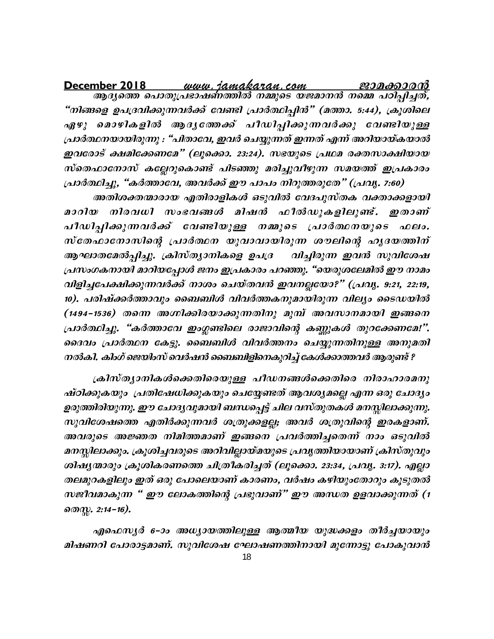December 2018 "നിങ്ങളെ ഉപദ്രവിക്കുന്നവർക്ക് വേണ്ടി പ്രാർത്ഥിപ്പിൻ" (മത്താ. 5:44), ക്രൂശിലെ ഏഴു മൊഴികളിൽ ആദൃത്തേക്ക് പീഡിപ്പിക്കുന്നവർക്കു വേണ്ടിയുള്ള പ്രാർത്ഥനയായിരുന്നു : "പിതാവേ, ഇവർ ചെയ്യുന്നത് ഇന്നത് എന്ന് അറിയായ്കയാൽ ഇവരോട് ക്ഷമിക്കേണമേ" (ലൂക്കൊ. 23:24). സഭയുടെ പ്രഥമ രക്തസാക്ഷിയായ സ്തെഫാനോസ് കല്ലേറുകൊണ്ട് പിടഞ്ഞു മരിച്ചുവീഴുന്ന സമയത്ത് ഇപ്രകാരം പ്രാർത്ഥിച്ചു, "കർത്താവേ, അവർക്ക് ഈ പാപം നിറുത്തരുതേ" (പ്രവൃ. 7:60)

അതിശക്തന്മാരായ എതിരാളികൾ ഒടുവിൽ വേദപുസ്തക വക്താക്കളായി മാറിയ നിരവധി സംഭവങ്ങൾ മിഷൻ ഫീൽഡുകളിലുണ്ട്. ഇതാണ് പീഡിപ്പിക്കുന്നവർക്ക് വേണ്ടിയുള്ള നമ്മുടെ പ്രാർത്ഥനയുടെ ഫലം. സ്തേഫാനോസിന്റെ പ്രാർത്ഥന യുവാവായിരുന്ന ശൗലിന്റെ ഹൃദയത്തിന് ആഘാതമേൽപ്പിച്ചു. ക്രിസ്ത്യാനികളെ ഉപദ്ര വിച്ചിരുന്ന ഇവൻ സുവിശേഷ പ്രസംഗകനായി മാറിയപ്പോൾ ജനം ഇപ്രകാരം പറഞ്ഞു. "യെരുശലേമിൽ ഈ നാമം വിളിച്ചപേക്ഷിക്കുന്നവർക്ക് നാശം ചെയ്തവൻ ഇവനല്ലയോ?" (പ്രവൃ. 9:21, 22:19, 10). പരിഷ്ക്കർത്താവും ബൈബിൾ വിവർത്തകനുമായിരുന്ന വില്യം ടൈഡയിൽ (1494-1536) തന്നെ അഗ്നിക്കിരയാക്കുന്നതിനു മുമ്പ് അവസാനമായി ഇങ്ങനെ പ്രാർത്ഥിച്ചു. "കർത്താവേ ഇംഗ്ലണ്ടിലെ രാജാവിന്റെ കണ്ണുകൾ തുറക്കേണമേ!". ദൈവം പ്രാർത്ഥന കേട്ടു. ബൈബിൾ വിവർത്തനം ചെയ്യുന്നതിനുള്ള അനുമതി നൽകി. കിംഗ് ജെയിംസ് വെർഷൻ ബൈബിളിനെകുറിച്ച് കേൾക്കാത്തവർ ആരുണ്ട് ?

ക്രിസ്ത്യാനികൾക്കെതിരെയുള്ള പീഡനങ്ങൾക്കെതിരെ നിരാഹാരമനു ഷ്ഠിക്കുകയും പ്രതിഷേധിക്കുകയും ചെയ്യേണ്ടത് ആവശ്യമല്ലെ എന്ന ഒരു ചോദ്യം ഉരുത്തിരിയുന്നു. ഈ ചോദ്യവുമായി ബന്ധപ്പെട്ട് ചില വസ്തുതകൾ മനസ്സിലാക്കുന്നു. സുവിശേഷത്തെ എതിർക്കുന്നവർ ശത്രുക്കളല്ല; അവർ ശത്രുവിന്റെ ഇരകളാണ്. അവരുടെ അജ്ഞത നിമിത്തമാണ് ഇങ്ങനെ പ്രവർത്തിച്ചതെന്ന് നാം ഒടുവിൽ മനസ്സിലാക്കും. ക്രൂശിച്ചവരുടെ അറിവില്ലായ്മയുടെ പ്രവൃത്തിയായാണ് ക്രിസ്തുവും ശിഷ്യന്മാരും ക്രൂശികരണത്തെ ചിത്രീകരിച്ചത് (ലൂക്കൊ. 23:34, പ്രവൃ. 3:17). എല്ലാ തലമുറകളിലും ഇത് ഒരു പോലെയാണ് കാരണം, വർഷം കഴിയുംതോറും കൂടുതൽ സജീവമാകുന്ന " ഈ ലോകത്തിന്റെ പ്രഭുവാണ്" ഈ അന്ധത ഉളവാക്കുന്നത് (1 றை, 2:14−16).

എഫെസൃർ 6-ാം അധ്യായത്തിലുള്ള ആത്മീയ യുദ്ധക്കളം തീർച്ചയായും മിഷണറി പോരാട്ടമാണ്. സുവിശേഷ ഘോഷണത്തിനായി മുന്നോട്ടു പോകുവാൻ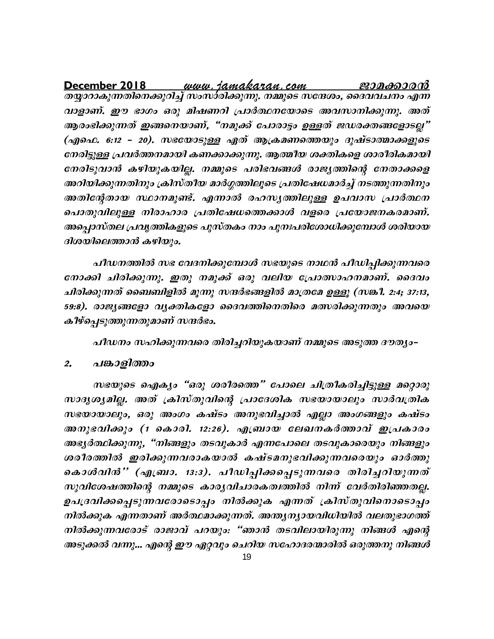വാളാണ്. ഈ ഭാഗം ഒരു മിഷണറി പ്രാർത്ഥനയോടെ അവസാനിക്കുന്നു. അത് ആരംഭിക്കുന്നത് ഇങ്ങനെയാണ്, "നമുക്ക് പോരാട്ടം ഉള്ളത് ജഡരക്തങ്ങളോടല്ല" (എഫെ. 6:12 - 20). സഭയോടുള്ള ഏത് ആക്രമണത്തെയും ദുഷ്ടാത്മാക്കളുടെ നേരിട്ടുള്ള പ്രവർത്തനമായി കണക്കാക്കുന്നു. ആത്മീയ ശക്തികളെ ശാരീരികമായി നേരിടുവാൻ കഴിയുകയില്ല. നമ്മുടെ പരിഭവങ്ങൾ രാജ്യത്തിന്റെ നേതാക്കളെ അറിയിക്കുന്നതിനും ക്രിസ്തീയ മാർഗ്ഗത്തിലൂടെ പ്രതിഷേധമാർച്ച് നടത്തുന്നതിനും അതിന്റേതായ സ്ഥാനമുണ്ട്. എന്നാൽ രഹസൃത്തിലുള്ള ഉപവാസ പ്രാർത്ഥന പൊതുവിലുള്ള നിരാഹാര പ്രതിഷേധത്തെക്കാൾ വളരെ പ്രയോജനകരമാണ്. അപ്പൊസ്തല പ്രവൃത്തികളുടെ പുസ്തകം നാം പുനഃപരിശോധിക്കുമ്പോൾ ശരിയായ ദിശയിലെത്താൻ കഴിയും.

പീഡനത്തിൽ സഭ വേദനിക്കുമ്പോൾ സഭയുടെ നാഥൻ പീഡിപ്പിക്കുന്നവരെ നോക്കി ചിരിക്കുന്നു. ഇതു നമുക്ക് ഒരു വലിയ പ്രോത്സാഹനമാണ്. ദൈവം ചിരിക്കുന്നത് ബൈബിളിൽ മൂന്നു സന്ദർഭങ്ങളിൽ മാത്രമേ ഉള്ളൂ (സങ്കീ. 2:4; 37:13, 59:8). രാജ്യങ്ങളോ വ്യക്തികളോ ദൈവത്തിനെതിരെ മത്സരിക്കുന്നതും അവയെ കീഴ്പ്പെടുത്തുന്നതുമാണ് സന്ദർഭം.

പീഡനം സഹിക്കുന്നവരെ തിരിച്ചറിയുകയാണ് നമ്മുടെ അടുത്ത ദൗത്യം–

#### $2.$ പങ്കാളിത്തം

സഭയുടെ ഐക്യം "ഒരു ശരീരത്തെ" പോലെ ചിത്രീകരിച്ചിട്ടുള്ള മറ്റൊരു സാദൃശൃമില്ല. അത് ക്രിസ്തുവിന്റെ പ്രാദേശിക സഭയായാലും സാർവത്രിക സഭയായാലും, ഒരു അംഗം കഷ്ടം അനുഭവിച്ചാൽ എല്ലാ അംഗങ്ങളും കഷ്ടം അനുഭവിക്കും (1 കൊരി. 12:26). എബ്രായ ലേഖനകർത്താവ് ഇപ്രകാരം അഭ്യർത്ഥിക്കുന്നു, "നിങ്ങളും തടവുകാർ എന്നപോലെ തടവുകാരെയും നിങ്ങളും ശരീരത്തിൽ ഇരിക്കുന്നവരാകയാൽ കഷ്ടമനുഭവിക്കുന്നവരെയും ഓർത്തു കൊൾവിൻ'' (എബ്രാ. 13:3). പീഡിപ്പിക്കപ്പെടുന്നവരെ തിരിച്ചറിയുന്നത് സുവിശേഷത്തിന്റെ നമ്മുടെ കാര്യവിചാരകത്വത്തിൽ നിന്ന് വേർതിരിഞ്ഞതല്ല. ഉപദ്രവിക്കപ്പെടുന്നവരോടൊപ്പം നിൽക്കുക എന്നത് ക്രിസ്തുവിനൊടൊപ്പം നിൽക്കുക എന്നതാണ് അർത്ഥമാക്കുന്നത്. അന്ത്യന്യായവിധിയിൽ വലതുഭാഗത്ത് നിൽക്കുന്നവരോട് രാജാവ് പറയും: "ഞാൻ തടവിലായിരുന്നു നിങ്ങൾ എന്റെ അടുക്കൽ വന്നു... എന്റെ ഈ ഏറ്റവും ചെറിയ സഹോദരന്മാരിൽ ഒരുത്തനു നിങ്ങൾ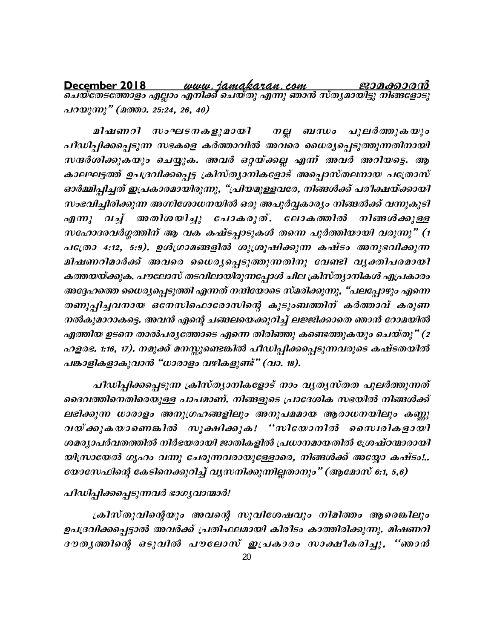പറയുന്നു" (മത്താ. 25:24, 26, 40)

നല്ല ബന്ധം പുലർത്തുകയും മിഷണറി സംഘടനകളുമായി പീഡിച്ചിക്കപ്പെടുന്ന സഭകളെ കർത്താവിൽ അവരെ ധൈര്യപ്പെടുത്തുന്നതിനായി സന്ദർശിക്കുകയും ചെയ്യുക. അവർ ഒറ്റയ്ക്കല്ല എന്ന് അവർ അറിയട്ടെ. ആ കാലഘട്ടത്ത് ഉപദ്രവിക്കപ്പെട്ട ക്രിസ്ത്യാനികളോട് അപ്പൊസ്തലനായ പത്രോസ് ഓർമ്മിപ്പിച്ചത് ഇപ്രകാരമായിരുന്നു, "പ്രിയമുള്ളവരേ, നിങ്ങൾക്ക് പരീക്ഷയ്ക്കായി സംഭവിച്ചിരിക്കുന്ന അഗ്നിശോധനയിൽ ഒരു അപൂർവ്വകാര്യം നിങ്ങൽക്ക് വന്നുകൂടി വച്ച് അതിശയിച്ചു പോകരുത്. ലോകത്തിൽ നിങ്ങൾക്കുള്ള  $\alpha \eta \langle m \rangle$ സഹോദരവർഗ്ഗത്തിന് ആ വക കഷ്ടപ്പാടുകൾ തന്നെ പൂർത്തിയായി വരുന്നു" (1 പത്രോ 4:12, 5:9). ഉൾഗ്രാമങ്ങളിൽ ശുശ്രൂഷിക്കുന്ന കഷ്ടം അനുഭവിക്കുന്ന മിഷണറിമാർക്ക് അവരെ ധൈര്യപ്പെടുത്തുന്നതിനു വേണ്ടി വൃക്തിപരമായി കത്തയയ്ക്കുക. പൗലോസ് തടവിലായിരുന്നപ്പോൾ ചില ക്രിസ്ത്യാനികൾ എപ്രകാരം അദ്ദേഹത്തെ ധൈര്യപ്പെടുത്തി എന്നത് നന്ദിയോടെ സ്മരിക്കുന്നു, "പലപ്പോഴും എന്നെ തണുപ്പിച്ചവനായ ഒനേസിഫൊരോസിന്റെ കുടുംബത്തിന് കർത്താവ് കരുണ നൽകുമാറാകട്ടെ. അവൻ എന്റെ ചങ്ങലയെക്കുറിച്ച് ലജ്ജിക്കാതെ ഞാൻ റോമയിൽ എത്തിയ ഉടനെ താൽപര്യത്തോടെ എന്നെ തിരിഞ്ഞു കണ്ടെത്തുകയും ചെയ്തു" (2 ഹളരഭ. 1:16, 17). നമുക്ക് മനസ്സുണ്ടെങ്കിൽ പീഡിപ്പിക്കപ്പെടുന്നവരുടെ കഷ്ടതയിൽ പങ്കാളികളാകുവാൻ "ധാരാളം വഴികളുണ്ട്" (വാ. 18).

പീഡിപ്പിക്കപ്പെടുന്ന ക്രിസ്ത്യാനികളോട് നാം വൃത്യസ്തത പുലർത്തുന്നത് ദൈവത്തിനെതിരെയുള്ള പാപമാണ്. നിങ്ങളുടെ പ്രാദേശിക സഭയിൽ നിങ്ങൾക്ക് ലഭിക്കുന്ന ധാരാളം അനുഗ്രഹങ്ങളിലും അനുപമമായ ആരാധനയിലും കണ്ണു വയ്ക്കുകയാണെങ്കിൽ സൂക്ഷിക്കുക! "സിയോനിൽ സൈദികളായി ശമര്യാപർവതത്തിൽ നിർഭയരായി ജാതികളിൽ പ്രധാനമായതിൽ ശ്രേഷ്ഠന്മാരായി യിസ്രായേൽ ഗൃഹം വന്നു ചേരുന്നവരായുള്ളോരെ, നിങ്ങൾക്ക് അയ്യോ കഷ്ടം!.. യോസേഫിന്റെ കേടിനെക്കുറിച്ച് വൃസനിക്കുന്നില്ലതാനും" (ആമോസ് 6:1, 5,6)

### പീഡിപ്പിക്കപ്പെടുന്നവർ ഭാഗൃവാന്മാർ!

ക്രിസ്തുവിന്റെയും അവന്റെ സുവിശേഷവും നിമിത്തം ആരെങ്കിലും ഉപദ്രവിക്കപ്പെട്ടാൽ അവർക്ക് പ്രതിഫലമായി കിരീടം കാത്തിരിക്കുന്നു. മിഷണറി ദൗതൃത്തിന്റെ ഒടുവിൽ പൗലോസ് ഇപ്രകാരം സാക്ഷീകരിച്ചു, ''ഞാൻ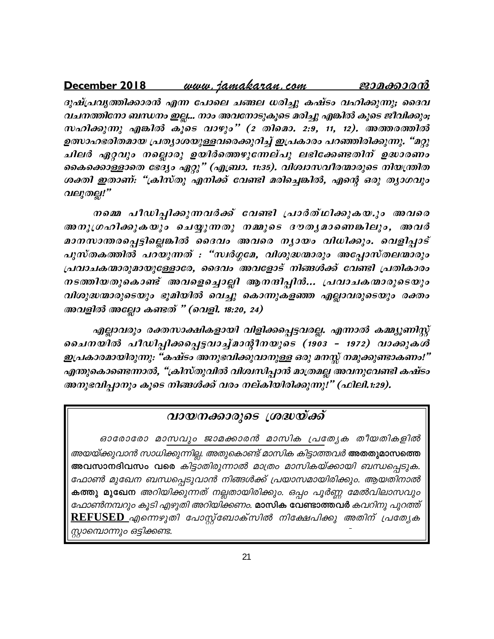#### <u>www.jamakaran.com</u> December 2018 ജാമക്കാരന്

ദുഷ്പ്രവൃത്തിക്കാരൻ എന്ന പോലെ ചങ്ങല ധരിച്ചു കഷ്ടം വഹിക്കുന്നു; ദൈവ വചനത്തിനോ ബന്ധനം ഇല്ല... നാം അവനോടുകൂടെ മരിച്ചു എങ്കിൽ കൂടെ ജീവിക്കും; സഹിക്കുന്നു എങ്കിൽ കൂടെ വാഴും" (2 തിമൊ. 2:9, 11, 12). അത്തരത്തിൽ ഉത്സാഹഭരിതമായ പ്രത്യാശയുള്ളവരെക്കുറിച്ച് ഇപ്രകാരം പറഞ്ഞിരിക്കുന്നു. "മറ്റു ചിലർ ഏറ്റവും നല്ലൊരു ഉയിർത്തെഴുന്നേല്പു ലഭിക്കേണ്ടതിന് ഉദ്ധാരണം കൈക്കൊള്ളാതെ ഭേദ്യം ഏറ്റു" (എബ്രാ. 11:35). വിശ്വാസവീരന്മാരുടെ നിയന്ത്രിത ശക്തി ഇതാണ്: "ക്രിസ്തു എനിക്ക് വേണ്ടി മരിച്ചെങ്കിൽ, എന്റെ ഒരു ത്യാഗവും വലുതല്ല!"

നമ്മെ പീഡിപ്പിക്കുന്നവർക്ക് വേണ്ടി പ്രാർത്ഥിക്കുകയ.ും അവരെ അനുഗ്രഹിക്കുകയും ചെയ്യുന്നതു നമ്മുടെ ദൗതൃമാണെങ്കിലും, അവർ മാനസാന്തരപ്പെട്ടില്ലെങ്കിൽ ദൈവം അവരെ നൃായം വിധിക്കും. വെളിപ്പാട് പുസ്തകത്തിൽ പറയുന്നത് : "സ്വർഗ്ഗമേ, വിശുദ്ധന്മാരും അപ്പോസ്തലന്മാരും പ്രവാചകന്മാരുമായുള്ളോരേ, ദൈവം അവളോട് നിങ്ങൾക്ക് വേണ്ടി പ്രതികാരം നടത്തിയതുകൊണ്ട് അവളെച്ചൊല്ലി ആനന്ദിപ്പിൻ... പ്രവാചകന്മാരുടെയും വിശുദ്ധന്മാരുടെയും ഭൂമിയിൽ വെച്ചു കൊന്നുകളഞ്ഞ എല്ലാവരുടെയും രക്തം അവളിൽ അല്ലോ കണ്ടത് " (വെളി. 18:20, 24)

എല്ലാവരും രക്തസാക്ഷികളായി വിളിക്കപ്പെട്ടവരല്ല. എന്നാൽ കമ്മ്യൂണിസ്റ്റ് ചൈനയിൽ പീഡിപ്പിക്കപ്പെട്ടവാച്ച്മാന്റീനയുടെ (1903 - 1972) വാക്കുകൾ ഇപ്രകാരമായിരുന്നു. "കഷ്ടം അനുഭവിക്കുവാനുള്ള ഒരു മനസ്സ് നമുക്കുണ്ടാകണം!" എന്തുകൊണ്ടെന്നാൽ, "ക്രിസ്തുവിൽ വിശ്വസിപ്പാൻ മാത്രമല്ല അവനുവേണ്ടി കഷ്ടം അനുഭവിപ്പാനും കൂടെ നിങ്ങൾക്ക് വരം നല്കിയിരിക്കുന്നു!" (ഫിലി.1:29).

## വായനക്കാരുടെ ശ്രദ്ധയ്ക്ക്

ഓരോരോ മാസവും ജാമക്കാരൻ മാസിക പ്രത്യേക തീയതികളിൽ അയയ്ക്കുവാൻ സാധിക്കുന്നില്ല. അതുകൊണ്ട് മാസിക കിട്ടാത്തവർ <mark>അതതുമാസത്തെ</mark> അവസാനദിവസം വരെ കിട്ടാതിരുന്നാൽ മാത്രം മാസികയ്ക്കായി ബന്ധപ്പെടുക. ഫോൺ മുഖേന ബന്ധപ്പെടുവാൻ നിങ്ങൾക്ക് പ്രയാസമായിരിക്കും. ആയതിനാൽ കത്തു മുഖേന അറിയിക്കുന്നത് നല്ലതായിരിക്കും. ഒപ്പം പൂർണ്ണ മേൽവിലാസവും ഫോൺനമ്പറും കൂടി എഴുതി അറിയിക്കണം. **മാസിക വേണ്ടാത്തവർ** കവറിനു പുറത്ത് <u>REFUSED എന്നെഴുതി പോസ്റ്റ്ബോക്സിൽ നിക്ഷേപിക്കു അതിന് പ്രത്യേക</u> സ്റ്റാമ്പൊന്നും ഒട്ടിക്കണ്ട.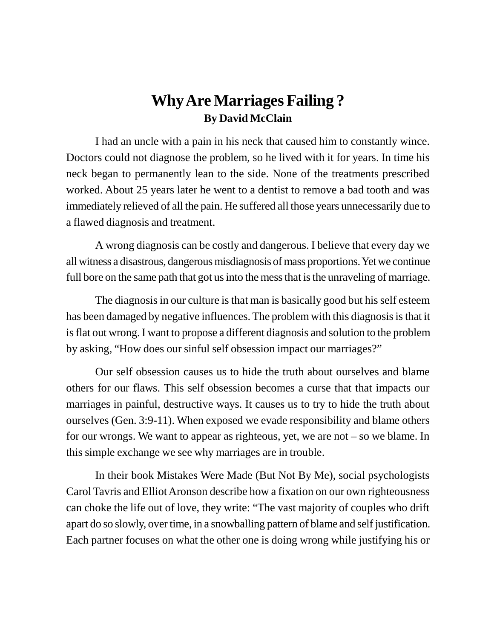## **Why Are Marriages Failing ? By David McClain**

I had an uncle with a pain in his neck that caused him to constantly wince. Doctors could not diagnose the problem, so he lived with it for years. In time his neck began to permanently lean to the side. None of the treatments prescribed worked. About 25 years later he went to a dentist to remove a bad tooth and was immediately relieved of all the pain. He suffered all those years unnecessarily due to a flawed diagnosis and treatment.

A wrong diagnosis can be costly and dangerous. I believe that every day we all witness a disastrous, dangerous misdiagnosis of mass proportions. Yet we continue full bore on the same path that got us into the mess that is the unraveling of marriage.

The diagnosis in our culture is that man is basically good but his self esteem has been damaged by negative influences. The problem with this diagnosis is that it is flat out wrong. I want to propose a different diagnosis and solution to the problem by asking, "How does our sinful self obsession impact our marriages?"

Our self obsession causes us to hide the truth about ourselves and blame others for our flaws. This self obsession becomes a curse that that impacts our marriages in painful, destructive ways. It causes us to try to hide the truth about ourselves (Gen. 3:9-11). When exposed we evade responsibility and blame others for our wrongs. We want to appear as righteous, yet, we are not – so we blame. In this simple exchange we see why marriages are in trouble.

In their book Mistakes Were Made (But Not By Me), social psychologists Carol Tavris and Elliot Aronson describe how a fixation on our own righteousness can choke the life out of love, they write: "The vast majority of couples who drift apart do so slowly, over time, in a snowballing pattern of blame and self justification. Each partner focuses on what the other one is doing wrong while justifying his or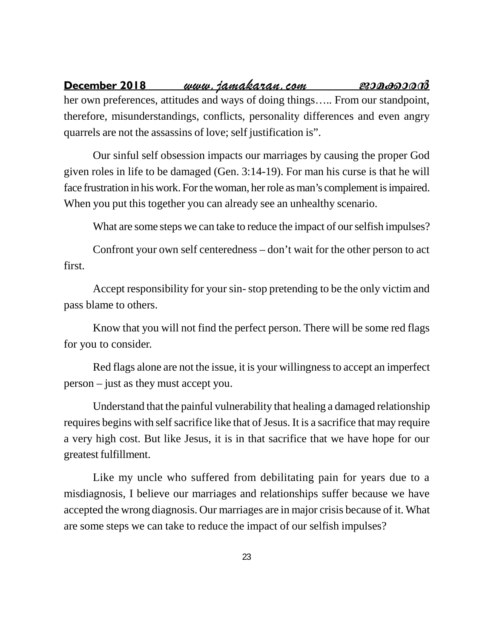**December 2018** www.jamakaran.com **Paraformação en 1980** her own preferences, attitudes and ways of doing things….. From our standpoint, therefore, misunderstandings, conflicts, personality differences and even angry quarrels are not the assassins of love; self justification is".

Our sinful self obsession impacts our marriages by causing the proper God given roles in life to be damaged (Gen. 3:14-19). For man his curse is that he will face frustration in his work. For the woman, her role as man's complement is impaired. When you put this together you can already see an unhealthy scenario.

What are some steps we can take to reduce the impact of our selfish impulses?

Confront your own self centeredness – don't wait for the other person to act first.

Accept responsibility for your sin- stop pretending to be the only victim and pass blame to others.

Know that you will not find the perfect person. There will be some red flags for you to consider.

Red flags alone are not the issue, it is your willingness to accept an imperfect person – just as they must accept you.

Understand that the painful vulnerability that healing a damaged relationship requires begins with self sacrifice like that of Jesus. It is a sacrifice that may require a very high cost. But like Jesus, it is in that sacrifice that we have hope for our greatest fulfillment.

Like my uncle who suffered from debilitating pain for years due to a misdiagnosis, I believe our marriages and relationships suffer because we have accepted the wrong diagnosis. Our marriages are in major crisis because of it. What are some steps we can take to reduce the impact of our selfish impulses?